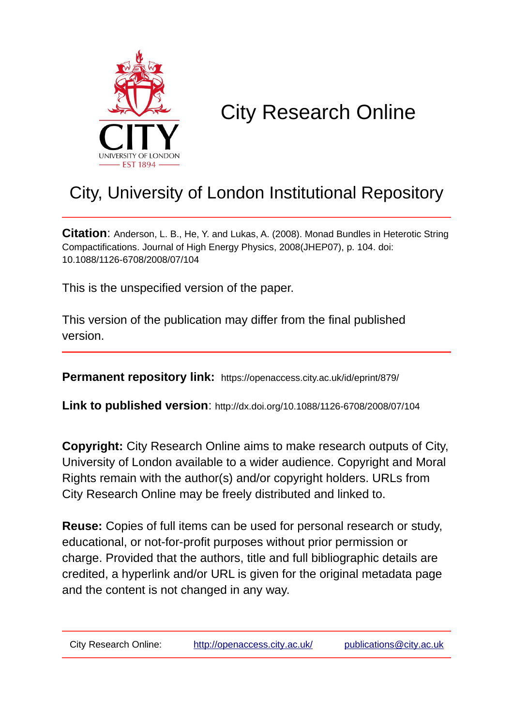

# City Research Online

# City, University of London Institutional Repository

**Citation**: Anderson, L. B., He, Y. and Lukas, A. (2008). Monad Bundles in Heterotic String Compactifications. Journal of High Energy Physics, 2008(JHEP07), p. 104. doi: 10.1088/1126-6708/2008/07/104

This is the unspecified version of the paper.

This version of the publication may differ from the final published version.

**Permanent repository link:** https://openaccess.city.ac.uk/id/eprint/879/

**Link to published version**: http://dx.doi.org/10.1088/1126-6708/2008/07/104

**Copyright:** City Research Online aims to make research outputs of City, University of London available to a wider audience. Copyright and Moral Rights remain with the author(s) and/or copyright holders. URLs from City Research Online may be freely distributed and linked to.

**Reuse:** Copies of full items can be used for personal research or study, educational, or not-for-profit purposes without prior permission or charge. Provided that the authors, title and full bibliographic details are credited, a hyperlink and/or URL is given for the original metadata page and the content is not changed in any way.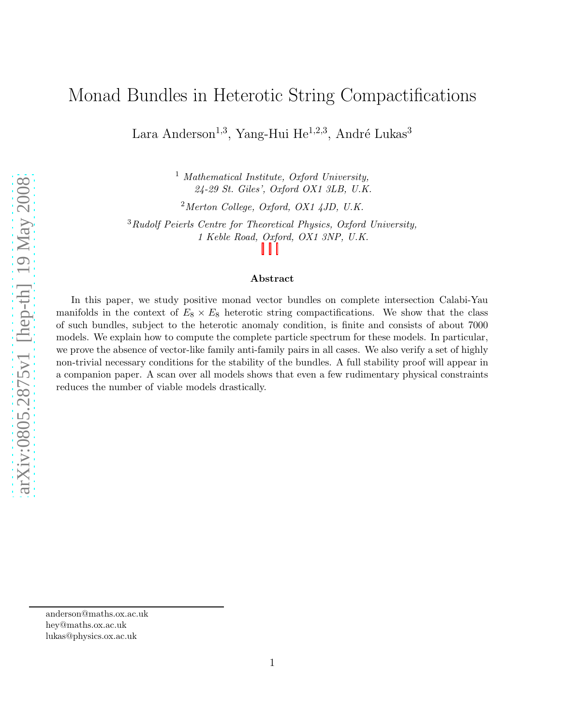## Monad Bundles in Heterotic String Compactifications

Lara Anderson<sup>1,3</sup>, Yang-Hui He<sup>1,2,3</sup>, André Lukas<sup>3</sup>

<sup>1</sup> *Mathematical Institute, Oxford University, 24-29 St. Giles', Oxford OX1 3LB, U.K.*

<sup>2</sup>*Merton College, Oxford, OX1 4JD, U.K.*

<sup>3</sup>*Rudolf Peierls Centre for Theoretical Physics, Oxford University, 1 Keble Road, Oxford, OX1 3NP, U.K.*

#### Abstract

In this paper, we study positive monad vector bundles on complete intersection Calabi-Yau manifolds in the context of  $E_8 \times E_8$  heterotic string compactifications. We show that the class of such bundles, subject to the heterotic anomaly condition, is finite and consists of about 7000 models. We explain how to compute the complete particle spectrum for these models. In particular, we prove the absence of vector-like family anti-family pairs in all cases. We also verify a set of highly non-trivial necessary conditions for the stability of the bundles. A full stability proof will appear in a companion paper. A scan over all models shows that even a few rudimentary physical constraints reduces the number of viable models drastically.

anderson@maths.ox.ac.uk hey@maths.ox.ac.uk lukas@physics.ox.ac.uk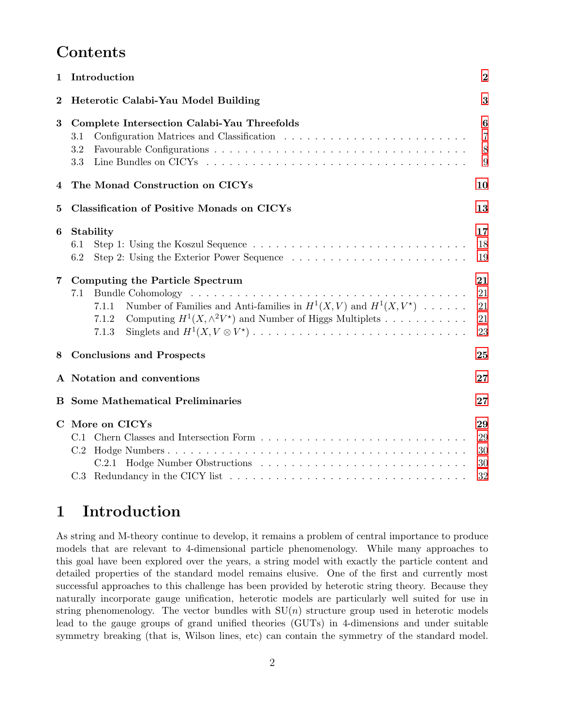## **Contents**

| Introduction<br>1                               |                                                                                                                                                                                                               |                                   |  |  |  |  |  |
|-------------------------------------------------|---------------------------------------------------------------------------------------------------------------------------------------------------------------------------------------------------------------|-----------------------------------|--|--|--|--|--|
| $\bf{2}$<br>Heterotic Calabi-Yau Model Building |                                                                                                                                                                                                               |                                   |  |  |  |  |  |
| $\bf{3}$                                        | Complete Intersection Calabi-Yau Threefolds<br>3.1<br>3.2<br>3.3                                                                                                                                              | 6<br>$\overline{7}$<br>$8\,$<br>9 |  |  |  |  |  |
| 4                                               | The Monad Construction on CICYs<br>10                                                                                                                                                                         |                                   |  |  |  |  |  |
| $\bf{5}$                                        | <b>Classification of Positive Monads on CICYs</b>                                                                                                                                                             |                                   |  |  |  |  |  |
| 6                                               | Stability<br>6.1<br>6.2                                                                                                                                                                                       | 17<br>18<br>19                    |  |  |  |  |  |
| 7                                               | Computing the Particle Spectrum<br>7.1<br>Number of Families and Anti-families in $H^1(X, V)$ and $H^1(X, V^*)$<br>7.1.1<br>Computing $H^1(X, \wedge^2 V^*)$ and Number of Higgs Multiplets<br>7.1.2<br>7.1.3 | 21<br>21<br>21<br>21<br>23        |  |  |  |  |  |
| 8                                               | <b>Conclusions and Prospects</b><br>25                                                                                                                                                                        |                                   |  |  |  |  |  |
|                                                 | A Notation and conventions<br>27                                                                                                                                                                              |                                   |  |  |  |  |  |
|                                                 | <b>B</b> Some Mathematical Preliminaries                                                                                                                                                                      |                                   |  |  |  |  |  |
|                                                 | C More on CICYs<br>C.2                                                                                                                                                                                        |                                   |  |  |  |  |  |

## <span id="page-2-0"></span>1 Introduction

As string and M-theory continue to develop, it remains a problem of central importance to produce models that are relevant to 4-dimensional particle phenomenology. While many approaches to this goal have been explored over the years, a string model with exactly the particle content and detailed properties of the standard model remains elusive. One of the first and currently most successful approaches to this challenge has been provided by heterotic string theory. Because they naturally incorporate gauge unification, heterotic models are particularly well suited for use in string phenomenology. The vector bundles with  $SU(n)$  structure group used in heterotic models lead to the gauge groups of grand unified theories (GUTs) in 4-dimensions and under suitable symmetry breaking (that is, Wilson lines, etc) can contain the symmetry of the standard model.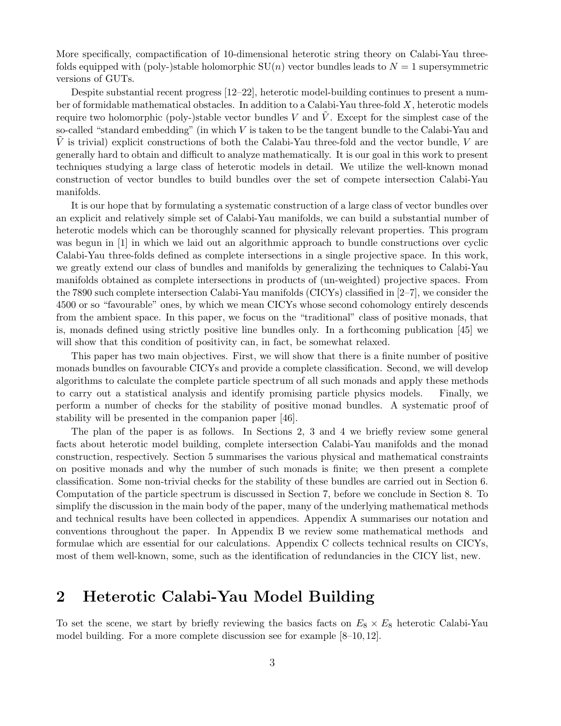More specifically, compactification of 10-dimensional heterotic string theory on Calabi-Yau threefolds equipped with (poly-)stable holomorphic  $SU(n)$  vector bundles leads to  $N = 1$  supersymmetric versions of GUTs.

Despite substantial recent progress [12–22], heterotic model-building continues to present a number of formidable mathematical obstacles. In addition to a Calabi-Yau three-fold X, heterotic models require two holomorphic (poly-)stable vector bundles  $V$  and  $V$ . Except for the simplest case of the so-called "standard embedding" (in which  $V$  is taken to be the tangent bundle to the Calabi-Yau and  $V$  is trivial) explicit constructions of both the Calabi-Yau three-fold and the vector bundle,  $V$  are generally hard to obtain and difficult to analyze mathematically. It is our goal in this work to present techniques studying a large class of heterotic models in detail. We utilize the well-known monad construction of vector bundles to build bundles over the set of compete intersection Calabi-Yau manifolds.

It is our hope that by formulating a systematic construction of a large class of vector bundles over an explicit and relatively simple set of Calabi-Yau manifolds, we can build a substantial number of heterotic models which can be thoroughly scanned for physically relevant properties. This program was begun in [1] in which we laid out an algorithmic approach to bundle constructions over cyclic Calabi-Yau three-folds defined as complete intersections in a single projective space. In this work, we greatly extend our class of bundles and manifolds by generalizing the techniques to Calabi-Yau manifolds obtained as complete intersections in products of (un-weighted) projective spaces. From the 7890 such complete intersection Calabi-Yau manifolds (CICYs) classified in [2–7], we consider the 4500 or so "favourable" ones, by which we mean CICYs whose second cohomology entirely descends from the ambient space. In this paper, we focus on the "traditional" class of positive monads, that is, monads defined using strictly positive line bundles only. In a forthcoming publication [45] we will show that this condition of positivity can, in fact, be somewhat relaxed.

This paper has two main objectives. First, we will show that there is a finite number of positive monads bundles on favourable CICYs and provide a complete classification. Second, we will develop algorithms to calculate the complete particle spectrum of all such monads and apply these methods to carry out a statistical analysis and identify promising particle physics models. Finally, we perform a number of checks for the stability of positive monad bundles. A systematic proof of stability will be presented in the companion paper [46].

The plan of the paper is as follows. In Sections 2, 3 and 4 we briefly review some general facts about heterotic model building, complete intersection Calabi-Yau manifolds and the monad construction, respectively. Section 5 summarises the various physical and mathematical constraints on positive monads and why the number of such monads is finite; we then present a complete classification. Some non-trivial checks for the stability of these bundles are carried out in Section 6. Computation of the particle spectrum is discussed in Section 7, before we conclude in Section 8. To simplify the discussion in the main body of the paper, many of the underlying mathematical methods and technical results have been collected in appendices. Appendix A summarises our notation and conventions throughout the paper. In Appendix B we review some mathematical methods and formulae which are essential for our calculations. Appendix C collects technical results on CICYs, most of them well-known, some, such as the identification of redundancies in the CICY list, new.

## <span id="page-3-0"></span>2 Heterotic Calabi-Yau Model Building

To set the scene, we start by briefly reviewing the basics facts on  $E_8 \times E_8$  heterotic Calabi-Yau model building. For a more complete discussion see for example [8–10, 12].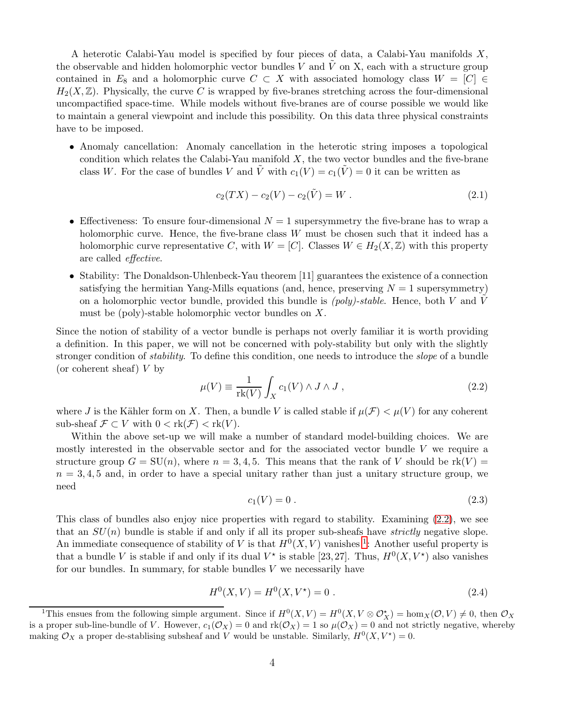A heterotic Calabi-Yau model is specified by four pieces of data, a Calabi-Yau manifolds X, the observable and hidden holomorphic vector bundles V and  $\tilde{V}$  on X, each with a structure group contained in  $E_8$  and a holomorphic curve  $C \subset X$  with associated homology class  $W = [C] \in$  $H_2(X,\mathbb{Z})$ . Physically, the curve C is wrapped by five-branes stretching across the four-dimensional uncompactified space-time. While models without five-branes are of course possible we would like to maintain a general viewpoint and include this possibility. On this data three physical constraints have to be imposed.

• Anomaly cancellation: Anomaly cancellation in the heterotic string imposes a topological condition which relates the Calabi-Yau manifold  $X$ , the two vector bundles and the five-brane class W. For the case of bundles V and  $\tilde{V}$  with  $c_1(V) = c_1(\tilde{V}) = 0$  it can be written as

<span id="page-4-3"></span>
$$
c_2(TX) - c_2(V) - c_2(\tilde{V}) = W.
$$
\n(2.1)

- Effectiveness: To ensure four-dimensional  $N = 1$  supersymmetry the five-brane has to wrap a holomorphic curve. Hence, the five-brane class  $W$  must be chosen such that it indeed has a holomorphic curve representative C, with  $W = [C]$ . Classes  $W \in H_2(X, \mathbb{Z})$  with this property are called *effective*.
- Stability: The Donaldson-Uhlenbeck-Yau theorem [11] guarantees the existence of a connection satisfying the hermitian Yang-Mills equations (and, hence, preserving  $N = 1$  supersymmetry) on a holomorphic vector bundle, provided this bundle is  $(poly)\text{-}stable$ . Hence, both V and V must be (poly)-stable holomorphic vector bundles on X.

Since the notion of stability of a vector bundle is perhaps not overly familiar it is worth providing a definition. In this paper, we will not be concerned with poly-stability but only with the slightly stronger condition of *stability*. To define this condition, one needs to introduce the *slope* of a bundle (or coherent sheaf) V by

<span id="page-4-0"></span>
$$
\mu(V) \equiv \frac{1}{\text{rk}(V)} \int_{X} c_1(V) \wedge J \wedge J , \qquad (2.2)
$$

where J is the Kähler form on X. Then, a bundle V is called stable if  $\mu(\mathcal{F}) < \mu(V)$  for any coherent sub-sheaf  $\mathcal{F} \subset V$  with  $0 < \text{rk}(\mathcal{F}) < \text{rk}(V)$ .

Within the above set-up we will make a number of standard model-building choices. We are mostly interested in the observable sector and for the associated vector bundle V we require a structure group  $G = SU(n)$ , where  $n = 3, 4, 5$ . This means that the rank of V should be rk(V) =  $n = 3, 4, 5$  and, in order to have a special unitary rather than just a unitary structure group, we need

$$
c_1(V) = 0.
$$
 (2.3)

This class of bundles also enjoy nice properties with regard to stability. Examining [\(2.2\)](#page-4-0), we see that an SU(n) bundle is stable if and only if all its proper sub-sheafs have *strictly* negative slope. An immediate consequence of stability of V is that  $H^0(X, V)$  vanishes <sup>[1](#page-4-1)</sup>: Another useful property is that a bundle V is stable if and only if its dual  $V^*$  is stable [23, 27]. Thus,  $H^0(X, V^*)$  also vanishes for our bundles. In summary, for stable bundles  $V$  we necessarily have

<span id="page-4-2"></span>
$$
H^{0}(X, V) = H^{0}(X, V^*) = 0.
$$
\n(2.4)

<span id="page-4-1"></span><sup>&</sup>lt;sup>1</sup>This ensues from the following simple argument. Since if  $H^0(X, V) = H^0(X, V \otimes \mathcal{O}_X^*) = \text{hom}_X(\mathcal{O}, V) \neq 0$ , then  $\mathcal{O}_X$ is a proper sub-line-bundle of V. However,  $c_1(\mathcal{O}_X) = 0$  and  $rk(\mathcal{O}_X) = 1$  so  $\mu(\mathcal{O}_X) = 0$  and not strictly negative, whereby making  $\mathcal{O}_X$  a proper de-stablising subsheaf and V would be unstable. Similarly,  $H^0(X, V^*) = 0$ .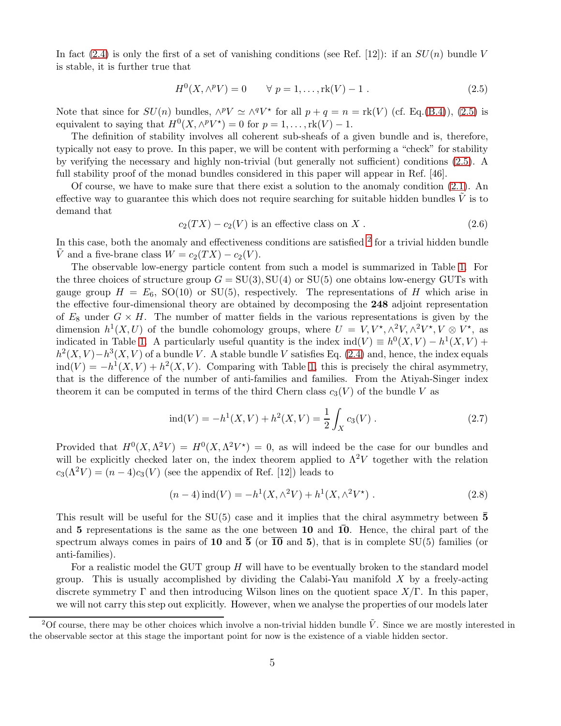In fact [\(2.4\)](#page-4-2) is only the first of a set of vanishing conditions (see Ref. [12]): if an  $SU(n)$  bundle V is stable, it is further true that

<span id="page-5-0"></span>
$$
H^{0}(X, \wedge^{p} V) = 0 \qquad \forall \ p = 1, ..., \text{rk}(V) - 1. \qquad (2.5)
$$

Note that since for  $SU(n)$  bundles,  $\wedge^p V \simeq \wedge^q V^*$  for all  $p + q = n = \text{rk}(V)$  (cf. Eq.[\(B.4\)](#page-27-2)), [\(2.5\)](#page-5-0) is equivalent to saying that  $H^0(X, \wedge^p V^*) = 0$  for  $p = 1, \ldots, \text{rk}(V) - 1$ .

The definition of stability involves all coherent sub-sheafs of a given bundle and is, therefore, typically not easy to prove. In this paper, we will be content with performing a "check" for stability by verifying the necessary and highly non-trivial (but generally not sufficient) conditions [\(2.5\)](#page-5-0). A full stability proof of the monad bundles considered in this paper will appear in Ref. [46].

Of course, we have to make sure that there exist a solution to the anomaly condition [\(2.1\)](#page-4-3). An effective way to guarantee this which does not require searching for suitable hidden bundles  $V$  is to demand that

<span id="page-5-2"></span>
$$
c_2(TX) - c_2(V) \text{ is an effective class on } X. \tag{2.6}
$$

In this case, both the anomaly and effectiveness conditions are satisfied <sup>[2](#page-5-1)</sup> for a trivial hidden bundle V and a five-brane class  $W = c_2(TX) - c_2(V)$ .

The observable low-energy particle content from such a model is summarized in Table [1.](#page-6-1) For the three choices of structure group  $G = SU(3), SU(4)$  or  $SU(5)$  one obtains low-energy GUTs with gauge group  $H = E_6$ , SO(10) or SU(5), respectively. The representations of H which arise in the effective four-dimensional theory are obtained by decomposing the 248 adjoint representation of  $E_8$  under  $G \times H$ . The number of matter fields in the various representations is given by the dimension  $h^1(X, U)$  of the bundle cohomology groups, where  $U = V, V^*, \wedge^2 V, \wedge^2 V^*, V \otimes V^*,$  as indicated in Table [1.](#page-6-1) A particularly useful quantity is the index  $ind(V) \equiv h^0(X, V) - h^1(X, V) +$  $h^2(X, V) - h^3(X, V)$  of a bundle V. A stable bundle V satisfies Eq. [\(2.4\)](#page-4-2) and, hence, the index equals  $\text{ind}(V) = -h^1(X, V) + h^2(X, V)$ . Comparing with Table [1,](#page-6-1) this is precisely the chiral asymmetry, that is the difference of the number of anti-families and families. From the Atiyah-Singer index theorem it can be computed in terms of the third Chern class  $c_3(V)$  of the bundle V as

<span id="page-5-3"></span>
$$
ind(V) = -h1(X, V) + h2(X, V) = \frac{1}{2} \int_X c_3(V) .
$$
 (2.7)

Provided that  $H^0(X, \Lambda^2 V) = H^0(X, \Lambda^2 V^*) = 0$ , as will indeed be the case for our bundles and will be explicitly checked later on, the index theorem applied to  $\Lambda^2 V$  together with the relation  $c_3(\Lambda^2 V) = (n-4)c_3(V)$  (see the appendix of Ref. [12]) leads to

<span id="page-5-4"></span>
$$
(n-4)\operatorname{ind}(V) = -h^1(X, \wedge^2 V) + h^1(X, \wedge^2 V^*) . \tag{2.8}
$$

This result will be useful for the  $SU(5)$  case and it implies that the chiral asymmetry between  $\bar{5}$ and 5 representations is the same as the one between  $10$  and  $10$ . Hence, the chiral part of the spectrum always comes in pairs of 10 and  $\overline{5}$  (or  $\overline{10}$  and 5), that is in complete SU(5) families (or anti-families).

For a realistic model the GUT group  $H$  will have to be eventually broken to the standard model group. This is usually accomplished by dividing the Calabi-Yau manifold  $X$  by a freely-acting discrete symmetry Γ and then introducing Wilson lines on the quotient space  $X/\Gamma$ . In this paper, we will not carry this step out explicitly. However, when we analyse the properties of our models later

<span id="page-5-1"></span><sup>&</sup>lt;sup>2</sup>Of course, there may be other choices which involve a non-trivial hidden bundle  $\tilde{V}$ . Since we are mostly interested in the observable sector at this stage the important point for now is the existence of a viable hidden sector.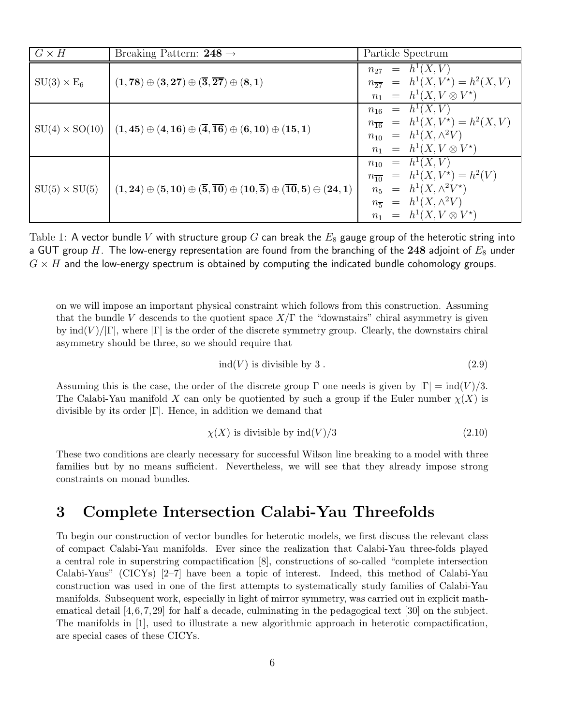| $G \times H$         | Breaking Pattern: 248 $\rightarrow$                                                                                              | Particle Spectrum                                                                                                                                                              |
|----------------------|----------------------------------------------------------------------------------------------------------------------------------|--------------------------------------------------------------------------------------------------------------------------------------------------------------------------------|
| $SU(3) \times E_6$   | $(1,78) \oplus (3,27) \oplus (\overline{3},\overline{27}) \oplus (8,1)$                                                          | $n_{27}$ = $h^1(X, V)$<br>$n_{\overline{27}} = h^1(X, V^*) = h^2(X, V)$<br>$n_1 = h^1(X, V \otimes V^*)$                                                                       |
|                      | $SU(4) \times SO(10)$ $(1,45) \oplus (4,16) \oplus (\overline{4},\overline{16}) \oplus (6,10) \oplus (15,1)$                     | $n_{16}$ = $h^1(X, V)$<br>$n_{\overline{16}} = h^1(X, V^*) = h^2(X, V)$<br>$n_{10}$ = $h^1(X, \wedge^2 V)$<br>$n_1 = h^1(X, V \otimes V^*)$                                    |
| $SU(5) \times SU(5)$ | $(1, 24) \oplus (5, 10) \oplus (\overline{5}, \overline{10}) \oplus (10, \overline{5}) \oplus (\overline{10}, 5) \oplus (24, 1)$ | $n_{10} = h^1(X, V)$<br>$n_{\overline{10}} = h^1(X, V^*) = h^2(V)$<br>$n_5 = h^1(X, \wedge^2 V^*)$<br>$n_{\overline{5}} = h^1(X, \wedge^2 V)$<br>$n_1 = h^1(X, V \otimes V^*)$ |

<span id="page-6-1"></span>Table 1: A vector bundle V with structure group G can break the  $E_8$  gauge group of the heterotic string into a GUT group  $H.$  The low-energy representation are found from the branching of the  ${\bf 248}$  adjoint of  $E_8$  under  $G \times H$  and the low-energy spectrum is obtained by computing the indicated bundle cohomology groups.

on we will impose an important physical constraint which follows from this construction. Assuming that the bundle V descends to the quotient space  $X/\Gamma$  the "downstairs" chiral asymmetry is given by  $\text{ind}(V)/|\Gamma|$ , where  $|\Gamma|$  is the order of the discrete symmetry group. Clearly, the downstairs chiral asymmetry should be three, so we should require that

<span id="page-6-2"></span>
$$
ind(V) \text{ is divisible by 3.} \tag{2.9}
$$

Assuming this is the case, the order of the discrete group  $\Gamma$  one needs is given by  $|\Gamma| = \text{ind}(V)/3$ . The Calabi-Yau manifold X can only be quotiented by such a group if the Euler number  $\chi(X)$  is divisible by its order  $|\Gamma|$ . Hence, in addition we demand that

<span id="page-6-3"></span>
$$
\chi(X)
$$
 is divisible by ind $(V)/3$  (2.10)

These two conditions are clearly necessary for successful Wilson line breaking to a model with three families but by no means sufficient. Nevertheless, we will see that they already impose strong constraints on monad bundles.

## <span id="page-6-0"></span>3 Complete Intersection Calabi-Yau Threefolds

To begin our construction of vector bundles for heterotic models, we first discuss the relevant class of compact Calabi-Yau manifolds. Ever since the realization that Calabi-Yau three-folds played a central role in superstring compactification [8], constructions of so-called "complete intersection Calabi-Yaus" (CICYs) [2–7] have been a topic of interest. Indeed, this method of Calabi-Yau construction was used in one of the first attempts to systematically study families of Calabi-Yau manifolds. Subsequent work, especially in light of mirror symmetry, was carried out in explicit mathematical detail [4, 6, 7, 29] for half a decade, culminating in the pedagogical text [30] on the subject. The manifolds in [1], used to illustrate a new algorithmic approach in heterotic compactification, are special cases of these CICYs.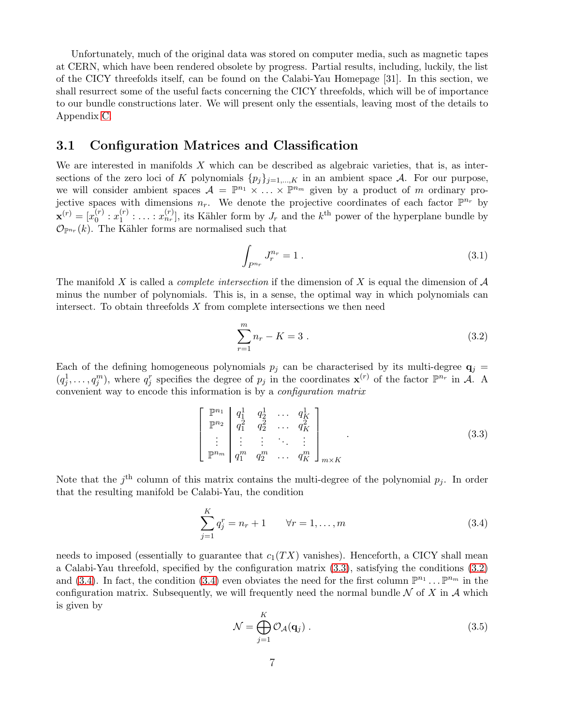Unfortunately, much of the original data was stored on computer media, such as magnetic tapes at CERN, which have been rendered obsolete by progress. Partial results, including, luckily, the list of the CICY threefolds itself, can be found on the Calabi-Yau Homepage [31]. In this section, we shall resurrect some of the useful facts concerning the CICY threefolds, which will be of importance to our bundle constructions later. We will present only the essentials, leaving most of the details to Appendix [C.](#page-29-0)

### <span id="page-7-0"></span>3.1 Configuration Matrices and Classification

We are interested in manifolds  $X$  which can be described as algebraic varieties, that is, as intersections of the zero loci of K polynomials  $\{p_j\}_{j=1,\dots,K}$  in an ambient space A. For our purpose, we will consider ambient spaces  $\mathcal{A} = \mathbb{P}^{n_1} \times \ldots \times \mathbb{P}^{n_m}$  given by a product of m ordinary projective spaces with dimensions  $n_r$ . We denote the projective coordinates of each factor  $\mathbb{P}^{n_r}$  by  $\mathbf{x}^{(r)} = [x_0^{(r)}]$  $x_0^{(r)}$  :  $x_1^{(r)}$  $\mathbf{I}_{1}^{(r)}: \ldots: x_{n_r}^{(r)}],$  its Kähler form by  $J_r$  and the  $k^{\text{th}}$  power of the hyperplane bundle by  $\mathcal{O}_{\mathbb{P}^{n_r}}(k)$ . The Kähler forms are normalised such that

$$
\int_{P^{n_r}} J_r^{n_r} = 1 \,. \tag{3.1}
$$

The manifold X is called a *complete intersection* if the dimension of X is equal the dimension of A minus the number of polynomials. This is, in a sense, the optimal way in which polynomials can intersect. To obtain threefolds  $X$  from complete intersections we then need

<span id="page-7-2"></span>
$$
\sum_{r=1}^{m} n_r - K = 3 \tag{3.2}
$$

Each of the defining homogeneous polynomials  $p_j$  can be characterised by its multi-degree  $q_i$  =  $(q_j^1, \ldots, q_j^m)$ , where  $q_j^r$  specifies the degree of  $p_j$  in the coordinates  $\mathbf{x}^{(r)}$  of the factor  $\mathbb{P}^{n_r}$  in A. A convenient way to encode this information is by a *configuration matrix*

<span id="page-7-1"></span>
$$
\begin{bmatrix}\n\mathbb{P}^{n_1} \\
\mathbb{P}^{n_2} \\
\vdots \\
\mathbb{P}^{n_m}\n\end{bmatrix}\n\begin{bmatrix}\nq_1^1 & q_2^1 & \cdots & q_K^1 \\
q_1^2 & q_2^2 & \cdots & q_K^2 \\
\vdots & \vdots & \ddots & \vdots \\
q_1^m & q_2^m & \cdots & q_K^m\n\end{bmatrix}_{m \times K}.
$$
\n(3.3)

Note that the  $j<sup>th</sup>$  column of this matrix contains the multi-degree of the polynomial  $p_j$ . In order that the resulting manifold be Calabi-Yau, the condition

<span id="page-7-3"></span>
$$
\sum_{j=1}^{K} q_j^r = n_r + 1 \qquad \forall r = 1, ..., m
$$
 (3.4)

needs to imposed (essentially to guarantee that  $c_1(TX)$  vanishes). Henceforth, a CICY shall mean a Calabi-Yau threefold, specified by the configuration matrix [\(3.3\)](#page-7-1), satisfying the conditions [\(3.2\)](#page-7-2) and [\(3.4\)](#page-7-3). In fact, the condition (3.4) even obviates the need for the first column  $\mathbb{P}^{n_1} \dots \mathbb{P}^{n_m}$  in the configuration matrix. Subsequently, we will frequently need the normal bundle  $N$  of X in A which is given by

<span id="page-7-4"></span>
$$
\mathcal{N} = \bigoplus_{j=1}^{K} \mathcal{O}_{\mathcal{A}}(\mathbf{q}_{j}).
$$
\n(3.5)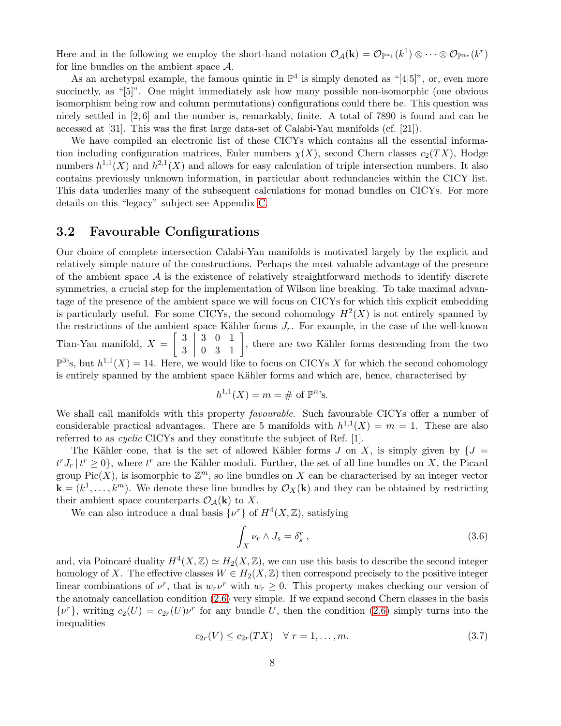Here and in the following we employ the short-hand notation  $\mathcal{O}_{\mathcal{A}}(\mathbf{k}) = \mathcal{O}_{\mathbb{P}^{n_1}}(k^1) \otimes \cdots \otimes \mathcal{O}_{\mathbb{P}^{n_r}}(k^r)$ for line bundles on the ambient space A.

As an archetypal example, the famous quintic in  $\mathbb{P}^4$  is simply denoted as "[4|5]", or, even more succinctly, as "[5]". One might immediately ask how many possible non-isomorphic (one obvious isomorphism being row and column permutations) configurations could there be. This question was nicely settled in [2, 6] and the number is, remarkably, finite. A total of 7890 is found and can be accessed at [31]. This was the first large data-set of Calabi-Yau manifolds (cf. [21]).

We have compiled an electronic list of these CICYs which contains all the essential information including configuration matrices, Euler numbers  $\chi(X)$ , second Chern classes  $c_2(TX)$ , Hodge numbers  $h^{1,1}(X)$  and  $h^{2,1}(X)$  and allows for easy calculation of triple intersection numbers. It also contains previously unknown information, in particular about redundancies within the CICY list. This data underlies many of the subsequent calculations for monad bundles on CICYs. For more details on this "legacy" subject see Appendix [C.](#page-29-0)

#### <span id="page-8-0"></span>3.2 Favourable Configurations

Our choice of complete intersection Calabi-Yau manifolds is motivated largely by the explicit and relatively simple nature of the constructions. Perhaps the most valuable advantage of the presence of the ambient space  $A$  is the existence of relatively straightforward methods to identify discrete symmetries, a crucial step for the implementation of Wilson line breaking. To take maximal advantage of the presence of the ambient space we will focus on CICYs for which this explicit embedding is particularly useful. For some CICYs, the second cohomology  $H^2(X)$  is not entirely spanned by the restrictions of the ambient space Kähler forms  $J_r$ . For example, in the case of the well-known Tian-Yau manifold,  $X = \begin{bmatrix} 3 \\ 3 \end{bmatrix}$ 3  $\begin{array}{c} \begin{array}{c} \begin{array}{c} \end{array} \\ \begin{array}{c} \end{array} \end{array} \end{array}$  $\begin{bmatrix} 3 & 0 & 1 \\ 0 & 3 & 1 \end{bmatrix}$ , there are two Kähler forms descending from the two  $\mathbb{P}^3$ 's, but  $h^{1,1}(X) = 14$ . Here, we would like to focus on CICYs X for which the second cohomology is entirely spanned by the ambient space Kähler forms and which are, hence, characterised by

$$
h^{1,1}(X) = m = \# \text{ of } \mathbb{P}^n
$$
's.

We shall call manifolds with this property *favourable*. Such favourable CICYs offer a number of considerable practical advantages. There are 5 manifolds with  $h^{1,1}(X) = m = 1$ . These are also referred to as *cyclic* CICYs and they constitute the subject of Ref. [1].

The Kähler cone, that is the set of allowed Kähler forms J on X, is simply given by  $\{J =$  $t^r J_r$   $\mid t^r \geq 0$ , where  $t^r$  are the Kähler moduli. Further, the set of all line bundles on X, the Picard group Pic $(X)$ , is isomorphic to  $\mathbb{Z}^m$ , so line bundles on X can be characterised by an integer vector  $\mathbf{k} = (k^1, \dots, k^m)$ . We denote these line bundles by  $\mathcal{O}_X(\mathbf{k})$  and they can be obtained by restricting their ambient space counterparts  $\mathcal{O}_{\mathcal{A}}(\mathbf{k})$  to X.

We can also introduce a dual basis  $\{\nu^r\}$  of  $H^4(X,\mathbb{Z})$ , satisfying

<span id="page-8-2"></span>
$$
\int_{X} \nu_r \wedge J_s = \delta_s^r \,, \tag{3.6}
$$

and, via Poincaré duality  $H^4(X,\mathbb{Z}) \simeq H_2(X,\mathbb{Z})$ , we can use this basis to describe the second integer homology of X. The effective classes  $W \in H_2(X, \mathbb{Z})$  then correspond precisely to the positive integer linear combinations of  $\nu^r$ , that is  $w_r \nu^r$  with  $w_r \geq 0$ . This property makes checking our version of the anomaly cancellation condition [\(2.6\)](#page-5-2) very simple. If we expand second Chern classes in the basis  $\{\nu^r\}$ , writing  $c_2(U) = c_{2r}(U)\nu^r$  for any bundle U, then the condition [\(2.6\)](#page-5-2) simply turns into the inequalities

<span id="page-8-1"></span>
$$
c_{2r}(V) \le c_{2r}(TX) \quad \forall \ r = 1, \dots, m. \tag{3.7}
$$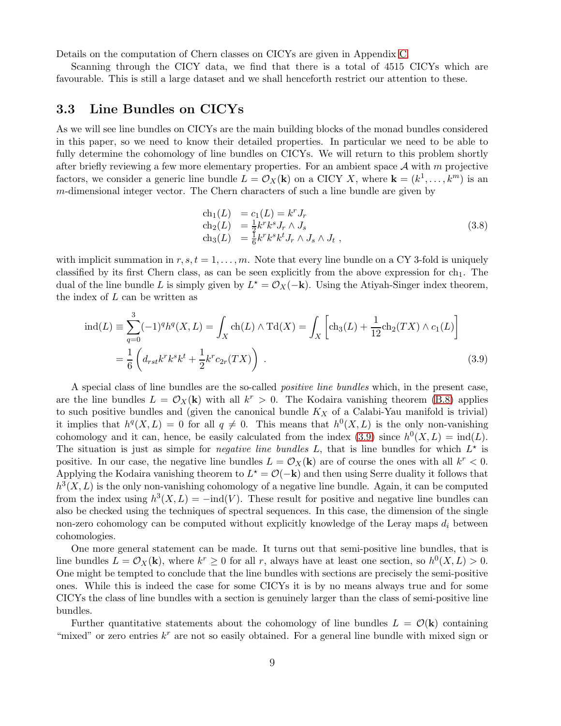Details on the computation of Chern classes on CICYs are given in Appendix [C.](#page-29-0)

Scanning through the CICY data, we find that there is a total of 4515 CICYs which are favourable. This is still a large dataset and we shall henceforth restrict our attention to these.

#### <span id="page-9-0"></span>3.3 Line Bundles on CICYs

As we will see line bundles on CICYs are the main building blocks of the monad bundles considered in this paper, so we need to know their detailed properties. In particular we need to be able to fully determine the cohomology of line bundles on CICYs. We will return to this problem shortly after briefly reviewing a few more elementary properties. For an ambient space  $A$  with m projective factors, we consider a generic line bundle  $L = \mathcal{O}_X(\mathbf{k})$  on a CICY X, where  $\mathbf{k} = (k^1, \dots, k^m)$  is an m-dimensional integer vector. The Chern characters of such a line bundle are given by

<span id="page-9-1"></span>
$$
\begin{array}{ll}\n\text{ch}_1(L) &= c_1(L) = k^r J_r \\
\text{ch}_2(L) &= \frac{1}{2} k^r k^s J_r \wedge J_s \\
\text{ch}_3(L) &= \frac{1}{6} k^r k^s k^t J_r \wedge J_s \wedge J_t \,,\n\end{array} \tag{3.8}
$$

with implicit summation in  $r, s, t = 1, \ldots, m$ . Note that every line bundle on a CY 3-fold is uniquely classified by its first Chern class, as can be seen explicitly from the above expression for  $ch_1$ . The dual of the line bundle L is simply given by  $L^* = \mathcal{O}_X(-\mathbf{k})$ . Using the Atiyah-Singer index theorem, the index of  $L$  can be written as

$$
\text{ind}(L) \equiv \sum_{q=0}^{3} (-1)^{q} h^{q}(X, L) = \int_{X} \text{ch}(L) \wedge \text{Td}(X) = \int_{X} \left[ \text{ch}_{3}(L) + \frac{1}{12} \text{ch}_{2}(TX) \wedge c_{1}(L) \right]
$$

$$
= \frac{1}{6} \left( d_{rst} k^{r} k^{s} k^{t} + \frac{1}{2} k^{r} c_{2r}(TX) \right) . \tag{3.9}
$$

A special class of line bundles are the so-called *positive line bundles* which, in the present case, are the line bundles  $L = \mathcal{O}_X(\mathbf{k})$  with all  $k^r > 0$ . The Kodaira vanishing theorem [\(B.8\)](#page-28-0) applies to such positive bundles and (given the canonical bundle  $K_X$  of a Calabi-Yau manifold is trivial) it implies that  $h^q(X, L) = 0$  for all  $q \neq 0$ . This means that  $h^0(X, L)$  is the only non-vanishing cohomology and it can, hence, be easily calculated from the index [\(3.9\)](#page-9-1) since  $h^0(X, L) = \text{ind}(L)$ . The situation is just as simple for *negative line bundles*  $L$ , that is line bundles for which  $L^*$  is positive. In our case, the negative line bundles  $L = \mathcal{O}_X(\mathbf{k})$  are of course the ones with all  $k^r < 0$ . Applying the Kodaira vanishing theorem to  $L^* = \mathcal{O}(-\mathbf{k})$  and then using Serre duality it follows that  $h^{3}(X, L)$  is the only non-vanishing cohomology of a negative line bundle. Again, it can be computed from the index using  $h^3(X, L) = -\text{ind}(V)$ . These result for positive and negative line bundles can also be checked using the techniques of spectral sequences. In this case, the dimension of the single non-zero cohomology can be computed without explicitly knowledge of the Leray maps  $d_i$  between cohomologies.

One more general statement can be made. It turns out that semi-positive line bundles, that is line bundles  $L = \mathcal{O}_X(\mathbf{k})$ , where  $k^r \geq 0$  for all r, always have at least one section, so  $h^0(X, L) > 0$ . One might be tempted to conclude that the line bundles with sections are precisely the semi-positive ones. While this is indeed the case for some CICYs it is by no means always true and for some CICYs the class of line bundles with a section is genuinely larger than the class of semi-positive line bundles.

Further quantitative statements about the cohomology of line bundles  $L = \mathcal{O}(\mathbf{k})$  containing "mixed" or zero entries  $k^r$  are not so easily obtained. For a general line bundle with mixed sign or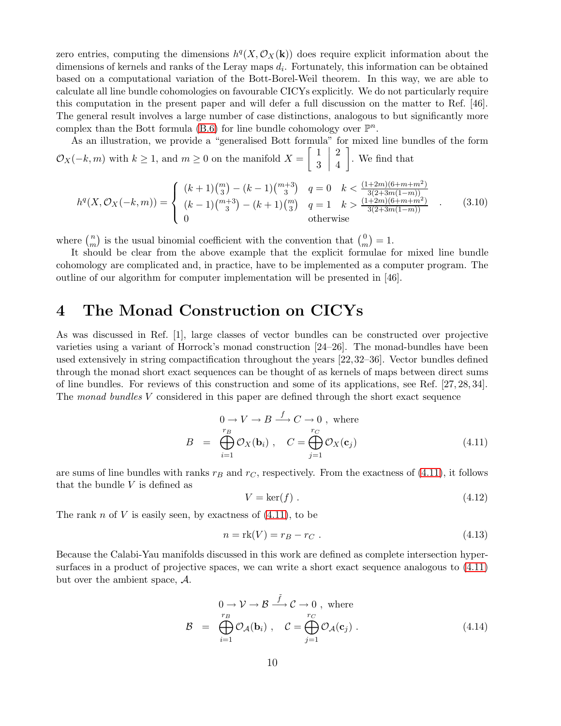zero entries, computing the dimensions  $h^q(X, \mathcal{O}_X(k))$  does require explicit information about the dimensions of kernels and ranks of the Leray maps  $d_i$ . Fortunately, this information can be obtained based on a computational variation of the Bott-Borel-Weil theorem. In this way, we are able to calculate all line bundle cohomologies on favourable CICYs explicitly. We do not particularly require this computation in the present paper and will defer a full discussion on the matter to Ref. [46]. The general result involves a large number of case distinctions, analogous to but significantly more complex than the Bott formula [\(B.6\)](#page-28-1) for line bundle cohomology over  $\mathbb{P}^n$ .

As an illustration, we provide a "generalised Bott formula" for mixed line bundles of the form  $\mathcal{O}_X(-k,m)$  with  $k\geq 1$ , and  $m\geq 0$  on the manifold  $X=\begin{bmatrix} 1 \\ 2 \end{bmatrix}$ 3  $\begin{array}{c} \begin{array}{c} \begin{array}{c} \begin{array}{c} \end{array} \\ \end{array} \end{array} \end{array}$ 2 4 . We find that

$$
h^{q}(X, \mathcal{O}_{X}(-k, m)) = \begin{cases} (k+1)\binom{m}{3} - (k-1)\binom{m+3}{3} & q=0 & k < \frac{(1+2m)(6+m+m^{2})}{3(2+3m(1-m))} \\ (k-1)\binom{m+3}{3} - (k+1)\binom{m}{3} & q=1 & k > \frac{(1+2m)(6+m+m^{2})}{3(2+3m(1-m))} \\ 0 & \text{otherwise} \end{cases} . \tag{3.10}
$$

where  $\binom{n}{m}$  $\binom{n}{m}$  is the usual binomial coefficient with the convention that  $\binom{0}{m}$  $\binom{0}{m} = 1.$ 

It should be clear from the above example that the explicit formulae for mixed line bundle cohomology are complicated and, in practice, have to be implemented as a computer program. The outline of our algorithm for computer implementation will be presented in [46].

## <span id="page-10-0"></span>4 The Monad Construction on CICYs

As was discussed in Ref. [1], large classes of vector bundles can be constructed over projective varieties using a variant of Horrock's monad construction [24–26]. The monad-bundles have been used extensively in string compactification throughout the years [22, 32–36]. Vector bundles defined through the monad short exact sequences can be thought of as kernels of maps between direct sums of line bundles. For reviews of this construction and some of its applications, see Ref. [27, 28, 34]. The *monad bundles* V considered in this paper are defined through the short exact sequence

<span id="page-10-1"></span>
$$
0 \to V \to B \xrightarrow{f} C \to 0, \text{ where}
$$
  

$$
B = \bigoplus_{i=1}^{r_B} \mathcal{O}_X(\mathbf{b}_i), \quad C = \bigoplus_{j=1}^{r_C} \mathcal{O}_X(\mathbf{c}_j)
$$
(4.11)

are sums of line bundles with ranks  $r_B$  and  $r_C$ , respectively. From the exactness of [\(4.11\)](#page-10-1), it follows that the bundle  $V$  is defined as

$$
V = \ker(f) \tag{4.12}
$$

The rank n of V is easily seen, by exactness of  $(4.11)$ , to be

$$
n = \text{rk}(V) = r_B - r_C \tag{4.13}
$$

Because the Calabi-Yau manifolds discussed in this work are defined as complete intersection hypersurfaces in a product of projective spaces, we can write a short exact sequence analogous to [\(4.11\)](#page-10-1) but over the ambient space, A.

<span id="page-10-2"></span>
$$
\mathcal{B} = \bigoplus_{i=1}^{r_B} \mathcal{O}_{\mathcal{A}}(\mathbf{b}_i), \quad \mathcal{C} = \bigoplus_{j=1}^{r_C} \mathcal{O}_{\mathcal{A}}(\mathbf{c}_j).
$$
\n(4.14)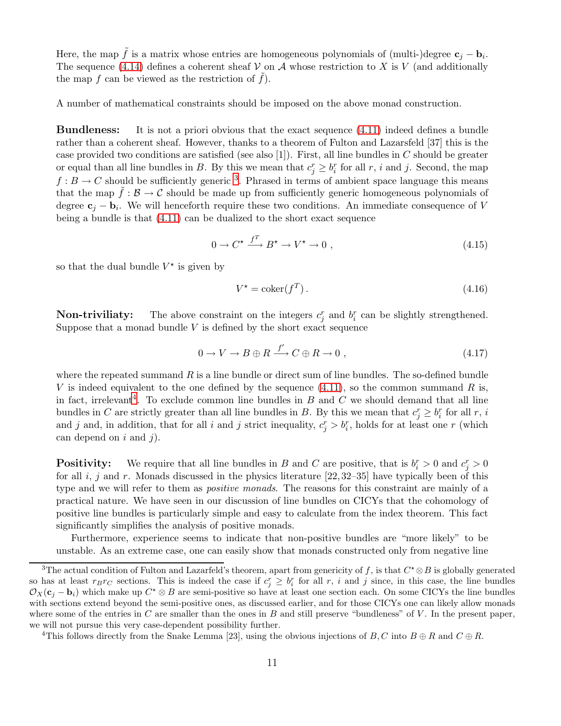Here, the map  $\tilde{f}$  is a matrix whose entries are homogeneous polynomials of (multi-)degree  $\mathbf{c}_j - \mathbf{b}_i$ . The sequence [\(4.14\)](#page-10-2) defines a coherent sheaf  $\mathcal V$  on  $\mathcal A$  whose restriction to X is V (and additionally the map  $f$  can be viewed as the restriction of  $f$ ).

A number of mathematical constraints should be imposed on the above monad construction.

Bundleness: It is not a priori obvious that the exact sequence [\(4.11\)](#page-10-1) indeed defines a bundle rather than a coherent sheaf. However, thanks to a theorem of Fulton and Lazarsfeld [37] this is the case provided two conditions are satisfied (see also [1]). First, all line bundles in  $C$  should be greater or equal than all line bundles in B. By this we mean that  $c_j^r \geq b_i^r$  for all r, i and j. Second, the map  $f: B \to C$  should be sufficiently generic <sup>[3](#page-11-0)</sup>. Phrased in terms of ambient space language this means that the map  $f : \mathcal{B} \to \mathcal{C}$  should be made up from sufficiently generic homogeneous polynomials of degree  $c_j - b_i$ . We will henceforth require these two conditions. An immediate consequence of V being a bundle is that [\(4.11\)](#page-10-1) can be dualized to the short exact sequence

<span id="page-11-2"></span>
$$
0 \to C^* \xrightarrow{f^T} B^* \to V^* \to 0 , \qquad (4.15)
$$

so that the dual bundle  $V^*$  is given by

$$
V^* = \text{coker}(f^T). \tag{4.16}
$$

**Non-triviliaty:** The above constraint on the integers  $c_j^r$  and  $b_i^r$  can be slightly strengthened. Suppose that a monad bundle  $V$  is defined by the short exact sequence

$$
0 \to V \to B \oplus R \xrightarrow{f'} C \oplus R \to 0 , \qquad (4.17)
$$

where the repeated summand  $R$  is a line bundle or direct sum of line bundles. The so-defined bundle V is indeed equivalent to the one defined by the sequence  $(4.11)$ , so the common summand R is, in fact, irrelevant<sup>[4](#page-11-1)</sup>. To exclude common line bundles in  $B$  and  $C$  we should demand that all line bundles in C are strictly greater than all line bundles in B. By this we mean that  $c_j^r \geq b_i^r$  for all r, i and j and, in addition, that for all i and j strict inequality,  $c_j^r > b_i^r$ , holds for at least one r (which can depend on  $i$  and  $j$ ).

**Positivity:** We require that all line bundles in B and C are positive, that is  $b_i^r > 0$  and  $c_j^r > 0$ for all i, j and r. Monads discussed in the physics literature  $[22, 32-35]$  have typically been of this type and we will refer to them as *positive monads*. The reasons for this constraint are mainly of a practical nature. We have seen in our discussion of line bundles on CICYs that the cohomology of positive line bundles is particularly simple and easy to calculate from the index theorem. This fact significantly simplifies the analysis of positive monads.

Furthermore, experience seems to indicate that non-positive bundles are "more likely" to be unstable. As an extreme case, one can easily show that monads constructed only from negative line

<span id="page-11-1"></span><sup>4</sup>This follows directly from the Snake Lemma [23], using the obvious injections of B, C into  $B \oplus R$  and  $C \oplus R$ .

<span id="page-11-0"></span><sup>&</sup>lt;sup>3</sup>The actual condition of Fulton and Lazarfeld's theorem, apart from genericity of f, is that  $C^* \otimes B$  is globally generated so has at least  $r_B r_C$  sections. This is indeed the case if  $c_j^r \geq b_i^r$  for all r, i and j since, in this case, the line bundles  $\mathcal{O}_X(\mathbf{c}_j - \mathbf{b}_i)$  which make up  $C^* \otimes B$  are semi-positive so have at least one section each. On some CICYs the line bundles with sections extend beyond the semi-positive ones, as discussed earlier, and for those CICYs one can likely allow monads where some of the entries in C are smaller than the ones in B and still preserve "bundleness" of  $V$ . In the present paper, we will not pursue this very case-dependent possibility further.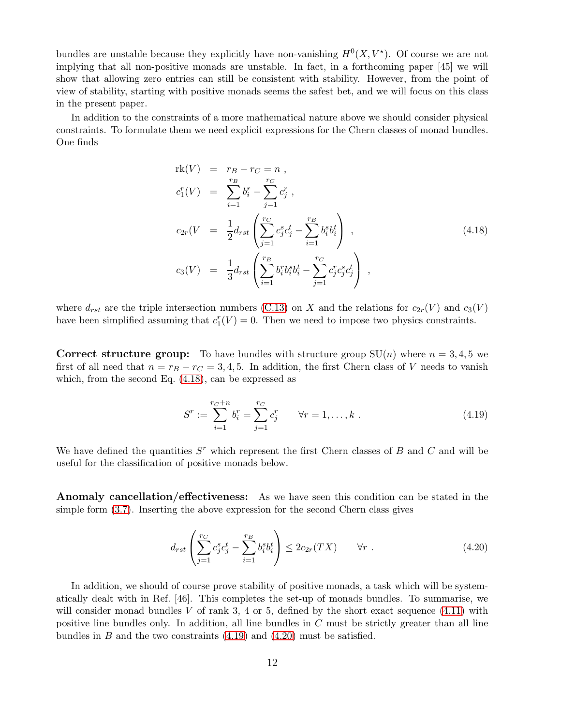bundles are unstable because they explicitly have non-vanishing  $H^0(X, V^*)$ . Of course we are not implying that all non-positive monads are unstable. In fact, in a forthcoming paper [45] we will show that allowing zero entries can still be consistent with stability. However, from the point of view of stability, starting with positive monads seems the safest bet, and we will focus on this class in the present paper.

In addition to the constraints of a more mathematical nature above we should consider physical constraints. To formulate them we need explicit expressions for the Chern classes of monad bundles. One finds

<span id="page-12-0"></span>
$$
\begin{array}{rcl}\n\text{rk}(V) & = & r_B - r_C = n \;, \\
c_1^r(V) & = & \sum_{i=1}^{r_B} b_i^r - \sum_{j=1}^{r_C} c_j^r \;, \\
c_{2r}(V) & = & \frac{1}{2} d_{rst} \left( \sum_{j=1}^{r_C} c_j^s c_j^t - \sum_{i=1}^{r_B} b_i^s b_i^t \right) \;, \\
c_3(V) & = & \frac{1}{3} d_{rst} \left( \sum_{i=1}^{r_B} b_i^r b_i^s b_i^t - \sum_{j=1}^{r_C} c_j^r c_j^s c_j^t \right) \;, \n\end{array} \tag{4.18}
$$

where  $d_{rst}$  are the triple intersection numbers [\(C.13\)](#page-29-2) on X and the relations for  $c_{2r}(V)$  and  $c_3(V)$ have been simplified assuming that  $c_1^r(V) = 0$ . Then we need to impose two physics constraints.

**Correct structure group:** To have bundles with structure group  $SU(n)$  where  $n = 3, 4, 5$  we first of all need that  $n = r_B - r_C = 3, 4, 5$ . In addition, the first Chern class of V needs to vanish which, from the second Eq. [\(4.18\)](#page-12-0), can be expressed as

<span id="page-12-1"></span>
$$
S^{r} := \sum_{i=1}^{r_C + n} b_i^{r} = \sum_{j=1}^{r_C} c_j^{r} \qquad \forall r = 1, ..., k .
$$
 (4.19)

We have defined the quantities  $S<sup>r</sup>$  which represent the first Chern classes of B and C and will be useful for the classification of positive monads below.

Anomaly cancellation/effectiveness: As we have seen this condition can be stated in the simple form [\(3.7\)](#page-8-1). Inserting the above expression for the second Chern class gives

<span id="page-12-2"></span>
$$
d_{rst} \left( \sum_{j=1}^{r_C} c_j^s c_j^t - \sum_{i=1}^{r_B} b_i^s b_i^t \right) \le 2c_{2r}(TX) \qquad \forall r \; . \tag{4.20}
$$

In addition, we should of course prove stability of positive monads, a task which will be systematically dealt with in Ref. [46]. This completes the set-up of monads bundles. To summarise, we will consider monad bundles V of rank 3, 4 or 5, defined by the short exact sequence  $(4.11)$  with positive line bundles only. In addition, all line bundles in  $C$  must be strictly greater than all line bundles in  $B$  and the two constraints  $(4.19)$  and  $(4.20)$  must be satisfied.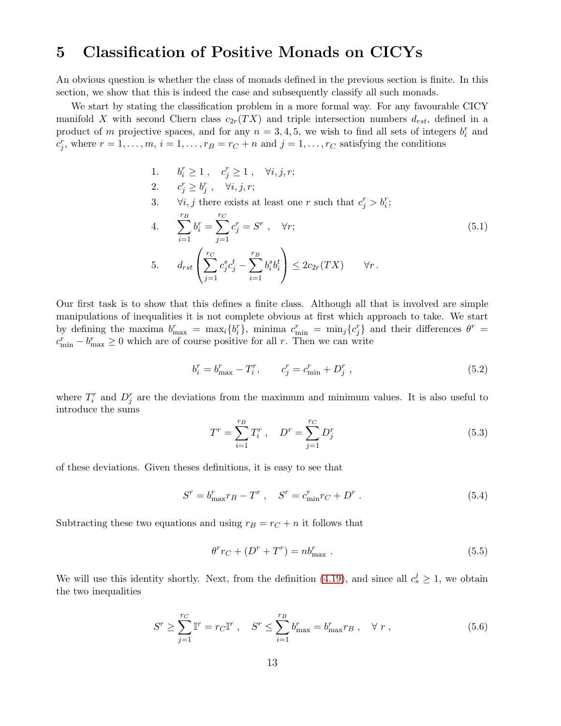## <span id="page-13-0"></span>5 Classification of Positive Monads on CICYs

An obvious question is whether the class of monads defined in the previous section is finite. In this section, we show that this is indeed the case and subsequently classify all such monads.

We start by stating the classification problem in a more formal way. For any favourable CICY manifold X with second Chern class  $c_{2r}(TX)$  and triple intersection numbers  $d_{rst}$ , defined in a product of m projective spaces, and for any  $n = 3, 4, 5$ , we wish to find all sets of integers  $b_i^r$  and  $c_j^r$ , where  $r = 1, \ldots, m$ ,  $i = 1, \ldots, r_B = r_C + n$  and  $j = 1, \ldots, r_C$  satisfying the conditions

- <span id="page-13-1"></span>1.  $b_i^r \ge 1$ ,  $c_j^r \ge 1$ ,  $\forall i, j, r;$
- 2.  $c_j^r \geq b_j^r$ ,  $\forall i, j, r;$
- 3.  $\forall i, j$  there exists at least one r such that  $c_j^r > b_i^r$ ;

4. 
$$
\sum_{i=1}^{r_B} b_i^r = \sum_{j=1}^{r_C} c_j^r = S^r , \quad \forall r;
$$
\n5. 
$$
d_{rst} \left( \sum_{j=1}^{r_C} c_j^s c_j^t - \sum_{i=1}^{r_B} b_i^s b_i^t \right) \leq 2c_{2r}(TX) \quad \forall r.
$$
\n(5.1)

Our first task is to show that this defines a finite class. Although all that is involved are simple manipulations of inequalities it is not complete obvious at first which approach to take. We start by defining the maxima  $b_{\max}^r = \max_i \{b_i^r\}$ , minima  $c_{\min}^r = \min_j \{c_j^r\}$  and their differences  $\theta^r =$  $c_{\min}^r - b_{\max}^r \ge 0$  which are of course positive for all r. Then we can write

<span id="page-13-2"></span>
$$
b_i^r = b_{\text{max}}^r - T_i^r, \qquad c_j^r = c_{\text{min}}^r + D_j^r \tag{5.2}
$$

where  $T_i^r$  and  $D_j^r$  are the deviations from the maximum and minimum values. It is also useful to introduce the sums

<span id="page-13-3"></span>
$$
T^r = \sum_{i=1}^{r_B} T_i^r , \quad D^r = \sum_{j=1}^{r_C} D_j^r
$$
 (5.3)

of these deviations. Given theses definitions, it is easy to see that

$$
S^r = b_{\max}^r r_B - T^r \ , \quad S^r = c_{\min}^r r_C + D^r \ . \tag{5.4}
$$

Subtracting these two equations and using  $r_B = r_C + n$  it follows that

<span id="page-13-5"></span>
$$
\theta^r r_C + (D^r + T^r) = n b_{\text{max}}^r \tag{5.5}
$$

We will use this identity shortly. Next, from the definition [\(4.19\)](#page-12-1), and since all  $c_s^j \geq 1$ , we obtain the two inequalities

<span id="page-13-4"></span>
$$
S^{r} \geq \sum_{j=1}^{r_C} \mathbb{I}^{r} = r_C \mathbb{I}^{r} , \quad S^{r} \leq \sum_{i=1}^{r_B} b_{\text{max}}^{r} = b_{\text{max}}^{r} r_B , \quad \forall r ,
$$
 (5.6)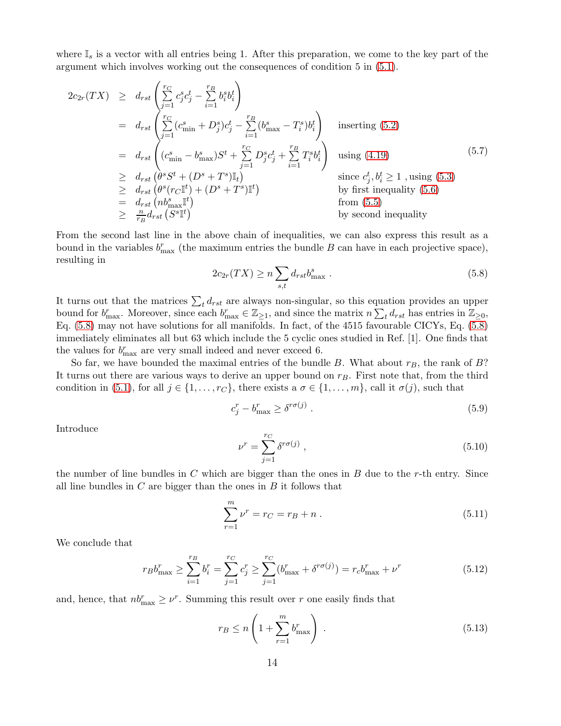where  $\mathbb{I}_s$  is a vector with all entries being 1. After this preparation, we come to the key part of the argument which involves working out the consequences of condition 5 in [\(5.1\)](#page-13-1).

<span id="page-14-3"></span>
$$
2c_{2r}(TX) \geq d_{rst} \left( \sum_{j=1}^{r_C} c_j^s c_j^t - \sum_{i=1}^{r_B} b_i^s b_i^t \right)
$$
  
\n
$$
= d_{rst} \left( \sum_{j=1}^{r_C} (c_{\min}^s + D_j^s) c_j^t - \sum_{i=1}^{r_B} (b_{\max}^s - T_i^s) b_i^t \right) \text{ inserting (5.2)}
$$
  
\n
$$
= d_{rst} \left( (c_{\min}^s - b_{\max}^s) S^t + \sum_{j=1}^{r_C} D_j^s c_j^t + \sum_{i=1}^{r_B} T_i^s b_i^t \right) \text{ using (4.19)}
$$
  
\n
$$
\geq d_{rst} \left( \theta^s S^t + (D^s + T^s) \mathbb{I}_t \right) \text{ since } c_j^t, b_i^t \geq 1 \text{, using (5.3)}
$$
  
\n
$$
\geq d_{rst} \left( \theta^s (r_C \mathbb{I}^t) + (D^s + T^s) \mathbb{I}^t \right) \text{ by first inequality (5.6)}
$$
  
\n
$$
= d_{rst} \left( nb_{\max}^s \mathbb{I}^t \right) \text{ by second inequality}
$$
  
\n
$$
\geq \frac{n}{r_B} d_{rst} \left( S^s \mathbb{I}^t \right) \text{ by second inequality}
$$

From the second last line in the above chain of inequalities, we can also express this result as a bound in the variables  $b_{\text{max}}^r$  (the maximum entries the bundle B can have in each projective space), resulting in

<span id="page-14-0"></span>
$$
2c_{2r}(TX) \ge n \sum_{s,t} d_{rst} b_{\text{max}}^s . \tag{5.8}
$$

It turns out that the matrices  $\sum_t d_{rst}$  are always non-singular, so this equation provides an upper bound for  $b_{\max}^r$ . Moreover, since each  $b_{\max}^r \in \mathbb{Z}_{\geq 1}$ , and since the matrix  $n \sum_t d_{rst}$  has entries in  $\mathbb{Z}_{\geq 0}$ , Eq. [\(5.8\)](#page-14-0) may not have solutions for all manifolds. In fact, of the 4515 favourable CICYs, Eq. [\(5.8\)](#page-14-0) immediately eliminates all but 63 which include the 5 cyclic ones studied in Ref. [1]. One finds that the values for  $b_{\text{max}}^r$  are very small indeed and never exceed 6.

So far, we have bounded the maximal entries of the bundle B. What about  $r_B$ , the rank of B? It turns out there are various ways to derive an upper bound on  $r_B$ . First note that, from the third condition in [\(5.1\)](#page-13-1), for all  $j \in \{1, \ldots, r_C\}$ , there exists a  $\sigma \in \{1, \ldots, m\}$ , call it  $\sigma(j)$ , such that

$$
c_j^r - b_{\text{max}}^r \ge \delta^{r\sigma(j)} \tag{5.9}
$$

Introduce

$$
\nu^r = \sum_{j=1}^{r_C} \delta^{r\sigma(j)} \,, \tag{5.10}
$$

the number of line bundles in C which are bigger than the ones in B due to the r-th entry. Since all line bundles in  $C$  are bigger than the ones in  $B$  it follows that

<span id="page-14-2"></span>
$$
\sum_{r=1}^{m} \nu^r = r_C = r_B + n \,. \tag{5.11}
$$

We conclude that

$$
r_B b_{\text{max}}^r \ge \sum_{i=1}^{r_B} b_i^r = \sum_{j=1}^{r_C} c_j^r \ge \sum_{j=1}^{r_C} (b_{\text{max}}^r + \delta^{r\sigma(j)}) = r_c b_{\text{max}}^r + \nu^r
$$
(5.12)

and, hence, that  $nb_{\text{max}}^r \geq \nu^r$ . Summing this result over r one easily finds that

<span id="page-14-1"></span>
$$
r_B \le n \left( 1 + \sum_{r=1}^{m} b_{\text{max}}^r \right) \,. \tag{5.13}
$$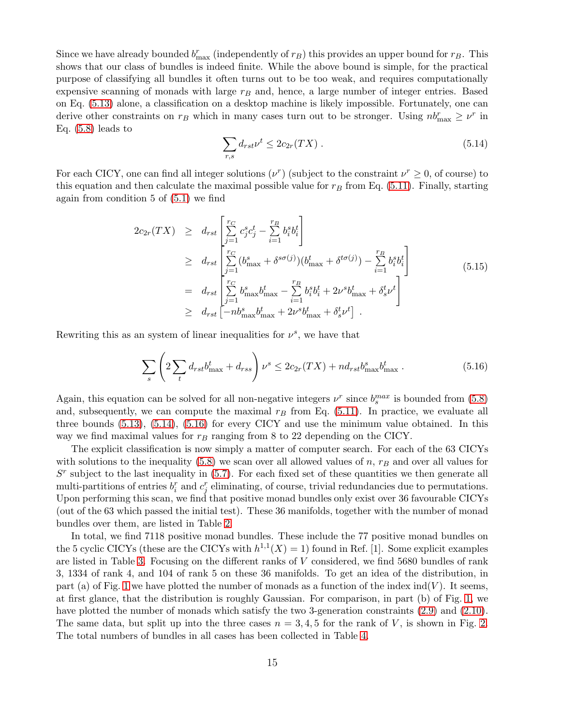Since we have already bounded  $b_{\text{max}}^r$  (independently of  $r_B$ ) this provides an upper bound for  $r_B$ . This shows that our class of bundles is indeed finite. While the above bound is simple, for the practical purpose of classifying all bundles it often turns out to be too weak, and requires computationally expensive scanning of monads with large  $r_B$  and, hence, a large number of integer entries. Based on Eq. [\(5.13\)](#page-14-1) alone, a classification on a desktop machine is likely impossible. Fortunately, one can derive other constraints on  $r_B$  which in many cases turn out to be stronger. Using  $nb_{\text{max}}^r \geq \nu^r$  in Eq.  $(5.8)$  leads to

<span id="page-15-0"></span>
$$
\sum_{r,s} d_{rst} \nu^t \le 2c_{2r}(TX) \tag{5.14}
$$

For each CICY, one can find all integer solutions  $(\nu^r)$  (subject to the constraint  $\nu^r \geq 0$ , of course) to this equation and then calculate the maximal possible value for  $r_B$  from Eq. [\(5.11\)](#page-14-2). Finally, starting again from condition 5 of [\(5.1\)](#page-13-1) we find

$$
2c_{2r}(TX) \geq d_{rst} \left[ \sum_{j=1}^{r_C} c_j^s c_j^t - \sum_{i=1}^{r_B} b_i^s b_i^t \right]
$$
  
\n
$$
\geq d_{rst} \left[ \sum_{j=1}^{r_C} (b_{\text{max}}^s + \delta^{s\sigma(j)}) (b_{\text{max}}^t + \delta^{t\sigma(j)}) - \sum_{i=1}^{r_B} b_i^s b_i^t \right]
$$
  
\n
$$
= d_{rst} \left[ \sum_{j=1}^{r_C} b_{\text{max}}^s b_{\text{max}}^t - \sum_{i=1}^{r_B} b_i^s b_i^t + 2\nu^s b_{\text{max}}^t + \delta_s^t \nu^t \right]
$$
  
\n
$$
\geq d_{rst} \left[ -nb_{\text{max}}^s b_{\text{max}}^t + 2\nu^s b_{\text{max}}^t + \delta_s^t \nu^t \right].
$$
\n(5.15)

Rewriting this as an system of linear inequalities for  $\nu^s$ , we have that

<span id="page-15-1"></span>
$$
\sum_{s} \left( 2 \sum_{t} d_{rst} b_{\text{max}}^{t} + d_{rss} \right) \nu^{s} \leq 2c_{2r}(TX) + nd_{rst} b_{\text{max}}^{s} b_{\text{max}}^{t} \,. \tag{5.16}
$$

Again, this equation can be solved for all non-negative integers  $\nu^r$  since  $b_s^{max}$  is bounded from [\(5.8\)](#page-14-0) and, subsequently, we can compute the maximal  $r_B$  from Eq. [\(5.11\)](#page-14-2). In practice, we evaluate all three bounds [\(5.13\)](#page-14-1), [\(5.14\)](#page-15-0), [\(5.16\)](#page-15-1) for every CICY and use the minimum value obtained. In this way we find maximal values for  $r_B$  ranging from 8 to 22 depending on the CICY.

The explicit classification is now simply a matter of computer search. For each of the 63 CICYs with solutions to the inequality  $(5.8)$  we scan over all allowed values of n,  $r_B$  and over all values for  $S<sup>r</sup>$  subject to the last inequality in [\(5.7\)](#page-14-3). For each fixed set of these quantities we then generate all multi-partitions of entries  $b_i^r$  and  $c_j^r$  eliminating, of course, trivial redundancies due to permutations. Upon performing this scan, we find that positive monad bundles only exist over 36 favourable CICYs (out of the 63 which passed the initial test). These 36 manifolds, together with the number of monad bundles over them, are listed in Table [2.](#page-16-0)

In total, we find 7118 positive monad bundles. These include the 77 positive monad bundles on the 5 cyclic CICYs (these are the CICYs with  $h^{1,1}(X) = 1$ ) found in Ref. [1]. Some explicit examples are listed in Table [3.](#page-16-1) Focusing on the different ranks of V considered, we find 5680 bundles of rank 3, 1334 of rank 4, and 104 of rank 5 on these 36 manifolds. To get an idea of the distribution, in part (a) of Fig. [1](#page-17-1) we have plotted the number of monads as a function of the index  $\text{ind}(V)$ . It seems, at first glance, that the distribution is roughly Gaussian. For comparison, in part (b) of Fig. [1,](#page-17-1) we have plotted the number of monads which satisfy the two 3-generation constraints [\(2.9\)](#page-6-2) and [\(2.10\)](#page-6-3). The same data, but split up into the three cases  $n = 3, 4, 5$  for the rank of V, is shown in Fig. [2.](#page-18-1) The total numbers of bundles in all cases has been collected in Table [4.](#page-17-2)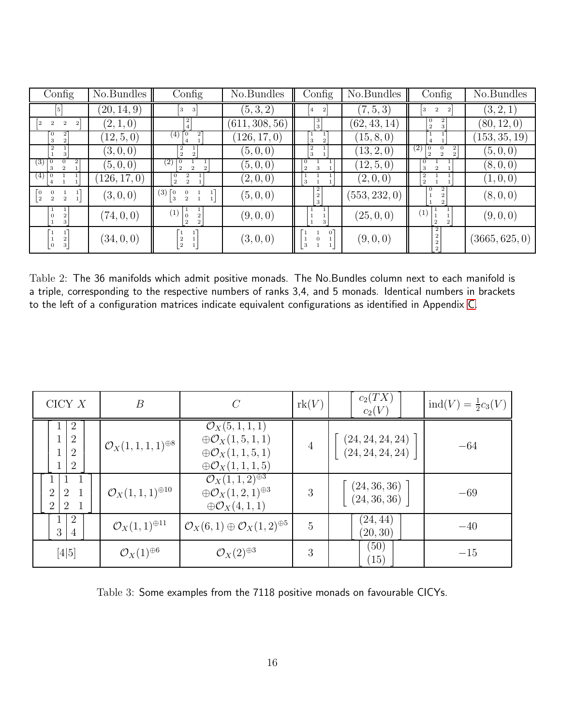| Config                                                    | No.Bundles  | $\mathrm{Config}$                                                         | No.Bundles     | $\overline{\text{Config}}$ | No.Bundles    | $\overline{\text{Config}}$                                                  | No.Bundles     |
|-----------------------------------------------------------|-------------|---------------------------------------------------------------------------|----------------|----------------------------|---------------|-----------------------------------------------------------------------------|----------------|
| 5                                                         | (20, 14, 9) | 3<br>3                                                                    | (5,3,2)        | $\,2$<br> 4                | (7, 5, 3)     | $\,2\,$<br>3<br>$\boldsymbol{2}$                                            | (3, 2, 1)      |
| $\boldsymbol{2}$<br>$\mathbf{2}$<br>$\overline{2}$        | (2,1,0)     | $^{2}$                                                                    | (611, 308, 56) | $\frac{3}{3}$              | (62, 43, 14)  | $\theta$<br>$\,2\,$<br>3                                                    | (80, 12, 0)    |
| $\boldsymbol{2}$<br>$\mathbf{0}$<br>3                     | (12, 5, 0)  | (4)<br>$\vert 0 \vert$<br>$\boldsymbol{2}$<br>$\overline{4}$              | (126, 17, 0)   | 3                          | (15, 8, 0)    | $\overline{4}$                                                              | (153, 35, 19)  |
| 2<br>3                                                    | (3,0,0)     | $\boldsymbol{2}$<br>$\,2\,$<br>$\boldsymbol{2}$                           | (5, 0, 0)      | $\boldsymbol{2}$<br>3      | (13, 2, 0)    | (2)<br>$^{2}$<br>$\theta$<br>$\Omega$<br>$\boldsymbol{2}$<br>$\overline{2}$ | (5,0,0)        |
| $\left(3\right)$<br>2<br>$\vert 0$<br>$\overline{2}$<br>3 | (5,0,0)     | (2)<br>$\overline{2}$<br>$\overline{2}$                                   | (5,0,0)        | l 0<br>$\overline{2}$<br>3 | (12, 5, 0)    | $\theta$<br>3<br>$\overline{2}$                                             | (8,0,0)        |
| (4)                                                       | 126, 17, 0) | $\overline{0}$<br>2<br>$\overline{2}$<br>$\overline{2}$                   | (2,0,0)        |                            | (2,0,0)       | $\boldsymbol{2}$<br>$\boldsymbol{2}$                                        | (1, 0, 0)      |
| O<br>$\vert$ 2<br>$\overline{2}$<br>$\overline{2}$        | (3,0,0)     | $(3)\lceil 0$<br>$\mathbf{1}$<br>0<br>$\vert 3 \vert$                     | (5, 0, 0)      | $\frac{2}{2}$<br>3         | (553, 232, 0) | $\theta$<br>$\mathbf{2}$                                                    | (8,0,0)        |
| 3                                                         | (74, 0, 0)  | (1)<br>$\overline{0}$<br>$\overline{2}$<br>$\overline{2}$<br>$\mathbf{2}$ | (9,0,0)        | 3                          | (25, 0, 0)    | (1)<br>$\overline{2}$                                                       | (9,0,0)        |
| $\begin{smallmatrix}2\\3\end{smallmatrix}$<br>[0          | (34, 0, 0)  | $\boldsymbol{2}$<br>$\lfloor 2 \rfloor$                                   | (3,0,0)        | $\Omega$<br>3              | (9,0,0)       | $\begin{smallmatrix}2\2\2\2\end{smallmatrix}$                               | (3665, 625, 0) |

<span id="page-16-0"></span>Table 2: The 36 manifolds which admit positive monads. The No.Bundles column next to each manifold is a triple, corresponding to the respective numbers of ranks 3,4, and 5 monads. Identical numbers in brackets to the left of a configuration matrices indicate equivalent configurations as identified in Appendix [C.](#page-29-0)

| CICY X                                                                               | $\boldsymbol{B}$                    | $\mathcal{C}$                                                                                                                           | rk(V)          | $c_2(TX)$<br>$c_2(V)$                | $ind(V) = \frac{1}{2}c_3(V)$ |
|--------------------------------------------------------------------------------------|-------------------------------------|-----------------------------------------------------------------------------------------------------------------------------------------|----------------|--------------------------------------|------------------------------|
| $\overline{2}$<br>$\overline{2}$<br>$\overline{2}$<br>$\overline{2}$<br>$\mathbf{I}$ | $\mathcal{O}_X(1,1,1,1)^{\oplus 8}$ | $\mathcal{O}_X(5, 1, 1, 1)$<br>$\oplus \mathcal{O}_X(1,5,1,1)$<br>$\oplus \mathcal{O}_X(1,1,5,1)$<br>$\bigoplus \mathcal{O}_X(1,1,1,5)$ | 4              | (24, 24, 24, 24)<br>(24, 24, 24, 24) | $-64$                        |
| $\overline{2}$<br>2<br>2<br>2                                                        | $\mathcal{O}_X(1,1,1)^{\oplus 10}$  | $\mathcal{O}_X(1,1,2)^{\oplus 3}$<br>$\oplus \mathcal{O}_X(1,2,1)^{\oplus 3}$<br>$\oplus \mathcal{O}_X(4,1,1)$                          | 3              | (24, 36, 36)<br>(24, 36, 36)         | $-69$                        |
| $\overline{2}$<br>$\perp$<br>3<br>$\overline{4}$                                     | $\mathcal{O}_X(1,1)^{\oplus 11}$    | $\mathcal{O}_X(6,1) \oplus \mathcal{O}_X(1,2)^{\oplus 5}$                                                                               | $\overline{5}$ | (24, 44)<br>(20, 30)                 | $-40$                        |
| $[4 5]$                                                                              | $\mathcal{O}_X(1)^{\oplus 6}$       | $\mathcal{O}_X(2)^{\oplus 3}$                                                                                                           | 3              | (50)<br>$\left(15\right)$            | $-15$                        |

<span id="page-16-1"></span>Table 3: Some examples from the 7118 positive monads on favourable CICYs.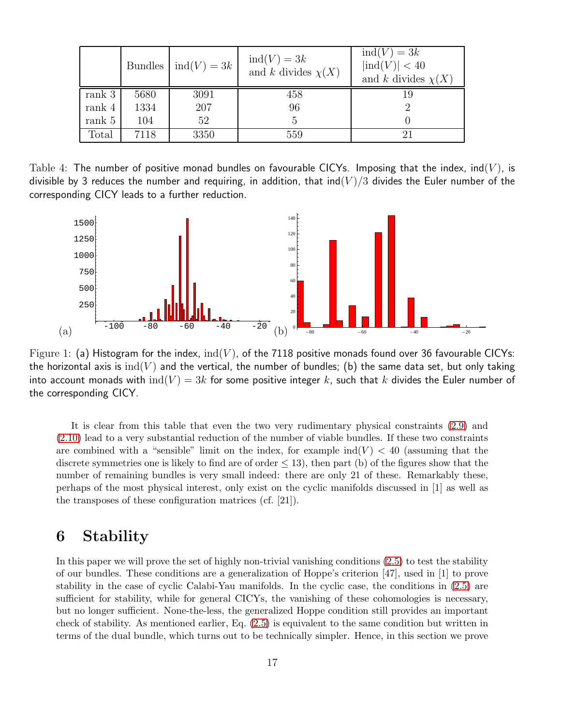|          |      | Bundles $\mid \text{ind}(V) = 3k$ | $ind(V) = 3k$<br>and k divides $\chi(X)$ | $ind(V) = 3k$<br>$\left  \text{ind}(V) \right  < 40$<br>and k divides $\chi(X)$ |
|----------|------|-----------------------------------|------------------------------------------|---------------------------------------------------------------------------------|
| rank 3   | 5680 | 3091                              | 458                                      |                                                                                 |
| rank $4$ | 1334 | 207                               | 96                                       |                                                                                 |
| rank 5   | 104  | 52                                | 5                                        |                                                                                 |
| Total    | 7118 | 3350                              | 559                                      |                                                                                 |

Table 4: The number of positive monad bundles on favourable CICYs. Imposing that the index,  $\text{ind}(V)$ , is divisible by 3 reduces the number and requiring, in addition, that ind(V)/3 divides the Euler number of the corresponding CICY leads to a further reduction.

<span id="page-17-2"></span>

<span id="page-17-1"></span>Figure 1: (a) Histogram for the index,  $ind(V)$ , of the 7118 positive monads found over 36 favourable CICYs: the horizontal axis is  $ind(V)$  and the vertical, the number of bundles; (b) the same data set, but only taking into account monads with  $\text{ind}(V) = 3k$  for some positive integer k, such that k divides the Euler number of the corresponding CICY.

It is clear from this table that even the two very rudimentary physical constraints [\(2.9\)](#page-6-2) and [\(2.10\)](#page-6-3) lead to a very substantial reduction of the number of viable bundles. If these two constraints are combined with a "sensible" limit on the index, for example  $\text{ind}(V) < 40$  (assuming that the discrete symmetries one is likely to find are of order  $\leq$  13), then part (b) of the figures show that the number of remaining bundles is very small indeed: there are only 21 of these. Remarkably these, perhaps of the most physical interest, only exist on the cyclic manifolds discussed in [1] as well as the transposes of these configuration matrices (cf. [21]).

## <span id="page-17-0"></span>6 Stability

In this paper we will prove the set of highly non-trivial vanishing conditions [\(2.5\)](#page-5-0) to test the stability of our bundles. These conditions are a generalization of Hoppe's criterion [47], used in [1] to prove stability in the case of cyclic Calabi-Yau manifolds. In the cyclic case, the conditions in [\(2.5\)](#page-5-0) are sufficient for stability, while for general CICYs, the vanishing of these cohomologies is necessary, but no longer sufficient. None-the-less, the generalized Hoppe condition still provides an important check of stability. As mentioned earlier, Eq. [\(2.5\)](#page-5-0) is equivalent to the same condition but written in terms of the dual bundle, which turns out to be technically simpler. Hence, in this section we prove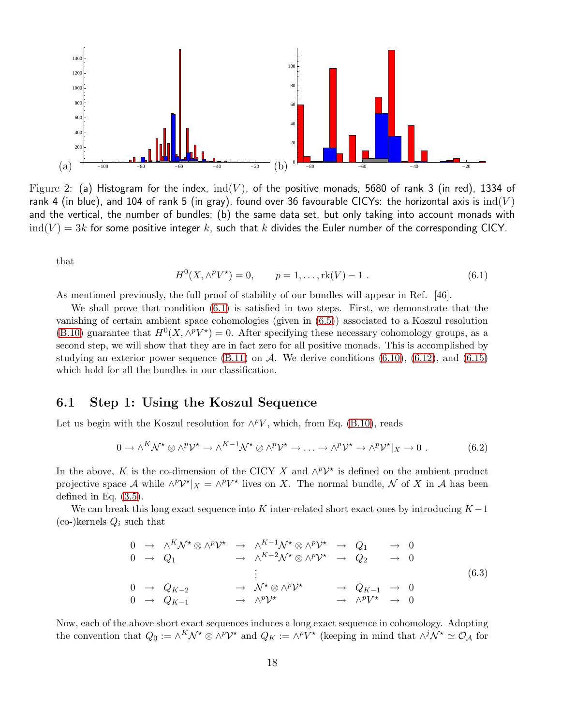

<span id="page-18-1"></span>Figure 2: (a) Histogram for the index,  $ind(V)$ , of the positive monads, 5680 of rank 3 (in red), 1334 of rank 4 (in blue), and 104 of rank 5 (in gray), found over 36 favourable CICYs: the horizontal axis is  $ind(V)$ and the vertical, the number of bundles; (b) the same data set, but only taking into account monads with  $\mathrm{ind}(V) = 3k$  for some positive integer  $k$ , such that  $k$  divides the Euler number of the corresponding CICY.

that

<span id="page-18-2"></span>
$$
H^{0}(X, \wedge^{p} V^{\star}) = 0, \qquad p = 1, \dots, \text{rk}(V) - 1. \tag{6.1}
$$

As mentioned previously, the full proof of stability of our bundles will appear in Ref. [46].

We shall prove that condition [\(6.1\)](#page-18-2) is satisfied in two steps. First, we demonstrate that the vanishing of certain ambient space cohomologies (given in [\(6.5\)](#page-19-1)) associated to a Koszul resolution [\(B.10\)](#page-28-2) guarantee that  $H^0(X, \wedge^p V^*) = 0$ . After specifying these necessary cohomology groups, as a second step, we will show that they are in fact zero for all positive monads. This is accomplished by studying an exterior power sequence  $(B.11)$  on A. We derive conditions  $(6.10)$ ,  $(6.12)$ , and  $(6.15)$ which hold for all the bundles in our classification.

#### <span id="page-18-0"></span>6.1 Step 1: Using the Koszul Sequence

Let us begin with the Koszul resolution for  $\wedge^p V$ , which, from Eq. [\(B.10\)](#page-28-2), reads

$$
0 \to \wedge^K \mathcal{N}^{\star} \otimes \wedge^p \mathcal{V}^{\star} \to \wedge^{K-1} \mathcal{N}^{\star} \otimes \wedge^p \mathcal{V}^{\star} \to \ldots \to \wedge^p \mathcal{V}^{\star} \to \wedge^p \mathcal{V}^{\star} |_{X} \to 0.
$$
 (6.2)

In the above, K is the co-dimension of the CICY X and  $\wedge^p{\cal V}^*$  is defined on the ambient product projective space A while  $\wedge^p{\cal V}^*|_X = \wedge^p{\cal V}^*$  lives on X. The normal bundle, N of X in A has been defined in Eq. [\(3.5\)](#page-7-4).

We can break this long exact sequence into K inter-related short exact ones by introducing  $K - 1$  $\left(\text{co-}\right)$ kernels  $Q_i$  such that

$$
0 \rightarrow \wedge^K \mathcal{N}^* \otimes \wedge^p \mathcal{V}^* \rightarrow \wedge^{K-1} \mathcal{N}^* \otimes \wedge^p \mathcal{V}^* \rightarrow Q_1 \rightarrow 0
$$
  
\n
$$
0 \rightarrow Q_1 \rightarrow \wedge^{K-2} \mathcal{N}^* \otimes \wedge^p \mathcal{V}^* \rightarrow Q_2 \rightarrow 0
$$
  
\n
$$
\vdots
$$
  
\n
$$
0 \rightarrow Q_{K-2} \rightarrow \mathcal{N}^* \otimes \wedge^p \mathcal{V}^* \rightarrow Q_{K-1} \rightarrow 0
$$
  
\n
$$
0 \rightarrow Q_{K-1} \rightarrow \wedge^p \mathcal{V}^* \rightarrow \wedge^p \mathcal{V}^* \rightarrow 0
$$
  
\n(6.3)

Now, each of the above short exact sequences induces a long exact sequence in cohomology. Adopting the convention that  $Q_0 := \wedge^K \mathcal{N}^* \otimes \wedge^p \mathcal{V}^*$  and  $Q_K := \wedge^p V^*$  (keeping in mind that  $\wedge^j \mathcal{N}^* \simeq \mathcal{O}_\mathcal{A}$  for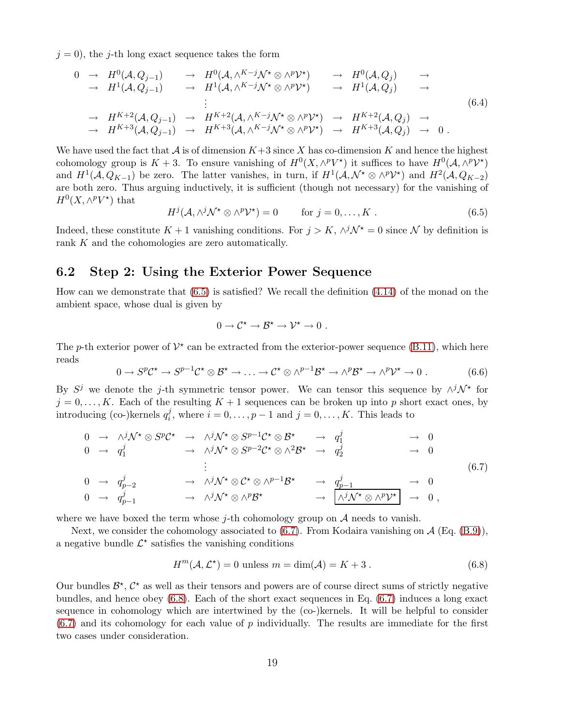$j = 0$ , the j-th long exact sequence takes the form

$$
\begin{array}{ccccccccc}\n0 & \rightarrow & H^{0}(\mathcal{A}, Q_{j-1}) & \rightarrow & H^{0}(\mathcal{A}, \wedge^{K-j}\mathcal{N}^{*} \otimes \wedge^{p}\mathcal{V}^{*}) & \rightarrow & H^{0}(\mathcal{A}, Q_{j}) & \rightarrow \\
& & \rightarrow & H^{1}(\mathcal{A}, Q_{j-1}) & \rightarrow & H^{1}(\mathcal{A}, \wedge^{K-j}\mathcal{N}^{*} \otimes \wedge^{p}\mathcal{V}^{*}) & \rightarrow & H^{1}(\mathcal{A}, Q_{j}) & \rightarrow \\
& & & \vdots & & & \\
& & & \rightarrow & H^{K+2}(\mathcal{A}, Q_{j-1}) & \rightarrow & H^{K+2}(\mathcal{A}, \wedge^{K-j}\mathcal{N}^{*} \otimes \wedge^{p}\mathcal{V}^{*}) & \rightarrow & H^{K+2}(\mathcal{A}, Q_{j}) & \rightarrow \\
& & & \rightarrow & H^{K+3}(\mathcal{A}, Q_{j-1}) & \rightarrow & H^{K+3}(\mathcal{A}, \wedge^{K-j}\mathcal{N}^{*} \otimes \wedge^{p}\mathcal{V}^{*}) & \rightarrow & H^{K+3}(\mathcal{A}, Q_{j}) & \rightarrow & 0 \, .\n\end{array} \tag{6.4}
$$

We have used the fact that  $A$  is of dimension  $K+3$  since X has co-dimension K and hence the highest cohomology group is  $K+3$ . To ensure vanishing of  $H^0(X, \wedge^p V^*)$  it suffices to have  $H^0(\mathcal{A}, \wedge^p V^*)$ and  $H^1(\mathcal{A}, Q_{K-1})$  be zero. The latter vanishes, in turn, if  $H^1(\mathcal{A}, \mathcal{N}^* \otimes \wedge^p \mathcal{V}^*)$  and  $H^2(\mathcal{A}, Q_{K-2})$ are both zero. Thus arguing inductively, it is sufficient (though not necessary) for the vanishing of  $H^0(X, \wedge^p V^*)$  that

<span id="page-19-1"></span>
$$
H^{j}(\mathcal{A}, \wedge^{j} \mathcal{N}^{\star} \otimes \wedge^{p} \mathcal{V}^{\star}) = 0 \quad \text{for } j = 0, ..., K .
$$
 (6.5)

Indeed, these constitute  $K + 1$  vanishing conditions. For  $j > K$ ,  $\wedge^{j} \mathcal{N}^* = 0$  since  $\mathcal{N}$  by definition is rank K and the cohomologies are zero automatically.

#### <span id="page-19-0"></span>6.2 Step 2: Using the Exterior Power Sequence

How can we demonstrate that [\(6.5\)](#page-19-1) is satisfied? We recall the definition [\(4.14\)](#page-10-2) of the monad on the ambient space, whose dual is given by

$$
0\to \mathcal{C}^\star\to \mathcal{B}^\star\to \mathcal{V}^\star\to 0\ .
$$

The p-th exterior power of  $\mathcal{V}^*$  can be extracted from the exterior-power sequence [\(B.11\)](#page-28-3), which here reads

$$
0 \to S^p C^{\star} \to S^{p-1} C^{\star} \otimes \mathcal{B}^{\star} \to \ldots \to C^{\star} \otimes \wedge^{p-1} \mathcal{B}^{\star} \to \wedge^p \mathcal{B}^{\star} \to \wedge^p \mathcal{V}^{\star} \to 0
$$
 (6.6)

By  $S^j$  we denote the j-th symmetric tensor power. We can tensor this sequence by  $\wedge^j \mathcal{N}^*$  for  $j = 0, \ldots, K$ . Each of the resulting  $K + 1$  sequences can be broken up into p short exact ones, by introducing (co-)kernels  $q_i^j$  $i<sub>i</sub>$ , where  $i = 0, \ldots, p - 1$  and  $j = 0, \ldots, K$ . This leads to

<span id="page-19-2"></span>
$$
\begin{array}{ccccccccc}\n0 & \rightarrow & \wedge^{j} \mathcal{N}^{\star} \otimes S^{p} \mathcal{C}^{\star} & \rightarrow & \wedge^{j} \mathcal{N}^{\star} \otimes S^{p-1} \mathcal{C}^{\star} \otimes \mathcal{B}^{\star} & \rightarrow & q_{1}^{j} & \rightarrow & 0 \\
0 & \rightarrow & q_{1}^{j} & \rightarrow & \wedge^{j} \mathcal{N}^{\star} \otimes S^{p-2} \mathcal{C}^{\star} \otimes \wedge^{2} \mathcal{B}^{\star} & \rightarrow & q_{2}^{j} & \rightarrow & 0 \\
\vdots & & & & & & & \\
0 & \rightarrow & q_{p-2}^{j} & \rightarrow & \wedge^{j} \mathcal{N}^{\star} \otimes \mathcal{C}^{\star} \otimes \wedge^{p-1} \mathcal{B}^{\star} & \rightarrow & q_{p-1}^{j} & \rightarrow & 0 \\
0 & \rightarrow & q_{p-1}^{j} & \rightarrow & \wedge^{j} \mathcal{N}^{\star} \otimes \wedge^{p} \mathcal{B}^{\star} & \rightarrow & \boxed{\wedge^{j} \mathcal{N}^{\star} \otimes \wedge^{p} \mathcal{V}^{\star}} & \rightarrow & 0 \;,\n\end{array} \tag{6.7}
$$

where we have boxed the term whose  $j$ -th cohomology group on  $A$  needs to vanish.

Next, we consider the cohomology associated to  $(6.7)$ . From Kodaira vanishing on  $\mathcal{A}$  (Eq. [\(B.9\)](#page-28-4)), a negative bundle  $\mathcal{L}^*$  satisfies the vanishing conditions

<span id="page-19-3"></span>
$$
H^m(\mathcal{A}, \mathcal{L}^*) = 0 \text{ unless } m = \dim(\mathcal{A}) = K + 3. \tag{6.8}
$$

Our bundles  $\mathcal{B}^{\star}$ ,  $\mathcal{C}^{\star}$  as well as their tensors and powers are of course direct sums of strictly negative bundles, and hence obey [\(6.8\)](#page-19-3). Each of the short exact sequences in Eq. [\(6.7\)](#page-19-2) induces a long exact sequence in cohomology which are intertwined by the (co-)kernels. It will be helpful to consider  $(6.7)$  and its cohomology for each value of p individually. The results are immediate for the first two cases under consideration.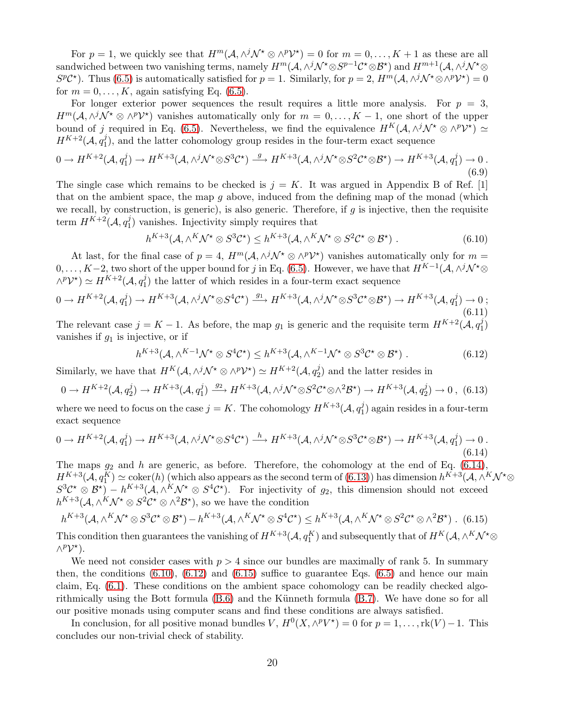For  $p = 1$ , we quickly see that  $H^m(A, \wedge^j \mathcal{N}^* \otimes \wedge^p \mathcal{V}^*) = 0$  for  $m = 0, \ldots, K + 1$  as these are all sandwiched between two vanishing terms, namely  $H^m(\mathcal{A}, \wedge^j \mathcal{N}^\star \otimes S^{p-1}\mathcal{C}^\star \otimes \mathcal{B}^\star)$  and  $H^{m+1}(\mathcal{A}, \wedge^j \mathcal{N}^\star \otimes S^{p-1})$  $S^p \mathcal{C}^*$ ). Thus [\(6.5\)](#page-19-1) is automatically satisfied for  $p = 1$ . Similarly, for  $p = 2$ ,  $H^m(\mathcal{A}, \wedge^j \mathcal{N}^* \otimes \wedge^p \mathcal{V}^*) = 0$ for  $m = 0, \ldots, K$ , again satisfying Eq. [\(6.5\)](#page-19-1).

For longer exterior power sequences the result requires a little more analysis. For  $p = 3$ ,  $H^m(\mathcal{A},\wedge^j \mathcal{N}^\star \otimes \wedge^p \mathcal{V}^\star)$  vanishes automatically only for  $m=0,\ldots,K-1$ , one short of the upper bound of j required in Eq. [\(6.5\)](#page-19-1). Nevertheless, we find the equivalence  $H^K(\mathcal{A}, \wedge^j \mathcal{N}^* \otimes \wedge^p \mathcal{V}^*) \simeq$  $H^{K+2}(\mathcal{A},q_1^j$  $1<sub>1</sub>$ ), and the latter cohomology group resides in the four-term exact sequence

$$
0 \to H^{K+2}(\mathcal{A}, q_1^j) \to H^{K+3}(\mathcal{A}, \wedge^j \mathcal{N}^* \otimes S^3 \mathcal{C}^*) \xrightarrow{g} H^{K+3}(\mathcal{A}, \wedge^j \mathcal{N}^* \otimes S^2 \mathcal{C}^* \otimes \mathcal{B}^*) \to H^{K+3}(\mathcal{A}, q_1^j) \to 0.
$$
\n
$$
(6.9)
$$

The single case which remains to be checked is  $j = K$ . It was argued in Appendix B of Ref. [1] that on the ambient space, the map  $q$  above, induced from the defining map of the monad (which we recall, by construction, is generic), is also generic. Therefore, if  $g$  is injective, then the requisite term  $H^{K+2}(\mathcal{A}, q_1^j)$  $_{1}^{j}$ ) vanishes. Injectivity simply requires that

<span id="page-20-0"></span>
$$
h^{K+3}(\mathcal{A}, \wedge^K \mathcal{N}^* \otimes S^3 \mathcal{C}^*) \leq h^{K+3}(\mathcal{A}, \wedge^K \mathcal{N}^* \otimes S^2 \mathcal{C}^* \otimes \mathcal{B}^*)
$$
 (6.10)

At last, for the final case of  $p = 4$ ,  $H^m(A, \wedge^j \mathcal{N}^* \otimes \wedge^p \mathcal{V}^*)$  vanishes automatically only for  $m =$  $0, \ldots, K-2$ , two short of the upper bound for j in Eq. [\(6.5\)](#page-19-1). However, we have that  $H^{K-1}(\mathcal{A}, \wedge^j \mathcal{N}^* \otimes^j \mathcal{A})$  $\wedge^p {\mathcal{V}}^\star) \simeq H^{K+2}({\mathcal{A}}, q_1^j)$  $_{1}^{j}$ ) the latter of which resides in a four-term exact sequence

$$
0 \to H^{K+2}(\mathcal{A}, q_1^j) \to H^{K+3}(\mathcal{A}, \wedge^j \mathcal{N}^* \otimes S^4 \mathcal{C}^*) \xrightarrow{g_1} H^{K+3}(\mathcal{A}, \wedge^j \mathcal{N}^* \otimes S^3 \mathcal{C}^* \otimes \mathcal{B}^*) \to H^{K+3}(\mathcal{A}, q_1^j) \to 0 ;
$$
\n
$$
(6.11)
$$

The relevant case  $j = K - 1$ . As before, the map  $g_1$  is generic and the requisite term  $H^{K+2}(\mathcal{A}, q_1^j)$  $\binom{J}{1}$ vanishes if  $g_1$  is injective, or if

<span id="page-20-1"></span>
$$
h^{K+3}(\mathcal{A}, \wedge^{K-1} \mathcal{N}^{\star} \otimes S^{4} \mathcal{C}^{\star}) \leq h^{K+3}(\mathcal{A}, \wedge^{K-1} \mathcal{N}^{\star} \otimes S^{3} \mathcal{C}^{\star} \otimes \mathcal{B}^{\star}). \tag{6.12}
$$

Similarly, we have that  $H^K(\mathcal{A}, \wedge^j \mathcal{N}^\star \otimes \wedge^p \mathcal{V}^\star) \simeq H^{K+2}(\mathcal{A}, q_2^j)$  $2<sub>2</sub>$ ) and the latter resides in

<span id="page-20-4"></span>
$$
0 \to H^{K+2}(\mathcal{A}, q_2^j) \to H^{K+3}(\mathcal{A}, q_1^j) \xrightarrow{g_2} H^{K+3}(\mathcal{A}, \wedge^j \mathcal{N}^* \otimes S^2 \mathcal{C}^* \otimes \wedge^2 \mathcal{B}^*) \to H^{K+3}(\mathcal{A}, q_2^j) \to 0 \tag{6.13}
$$

where we need to focus on the case  $j = K$ . The cohomology  $H^{K+3}(\mathcal{A}, q_1^j)$  $_1^j$ ) again resides in a four-term exact sequence

<span id="page-20-3"></span>
$$
0 \to H^{K+2}(\mathcal{A}, q_1^j) \to H^{K+3}(\mathcal{A}, \wedge^j \mathcal{N}^* \otimes S^4 \mathcal{C}^*) \xrightarrow{h} H^{K+3}(\mathcal{A}, \wedge^j \mathcal{N}^* \otimes S^3 \mathcal{C}^* \otimes \mathcal{B}^*) \to H^{K+3}(\mathcal{A}, q_1^j) \to 0.
$$
\n
$$
(6.14)
$$

The maps  $g_2$  and h are generic, as before. Therefore, the cohomology at the end of Eq. [\(6.14\)](#page-20-3),  $H^{K+3}(\mathcal{A}, q_1^K) \simeq \operatorname{coker}(h)$  (which also appears as the second term of [\(6.13\)](#page-20-4)) has dimension  $h^{K+3}(\mathcal{A}, \wedge^K \mathcal{N}^* \otimes$  $S^3C^{\star} \otimes \mathcal{B}^{\star}$ ) –  $h^{K+3}(\mathcal{A}, \wedge^K \mathcal{N}^{\star} \otimes S^4\mathcal{C}^{\star})$ . For injectivity of  $g_2$ , this dimension should not exceed  $h^{K+3}(\mathcal{A}, \wedge^K \mathcal{N}^\star \otimes S^2 \mathcal{C}^\star \otimes \wedge^2 \mathcal{B}^\star)$ , so we have the condition

<span id="page-20-2"></span>
$$
h^{K+3}(\mathcal{A}, \wedge^K \mathcal{N}^* \otimes S^3 \mathcal{C}^* \otimes \mathcal{B}^*) - h^{K+3}(\mathcal{A}, \wedge^K \mathcal{N}^* \otimes S^4 \mathcal{C}^*) \leq h^{K+3}(\mathcal{A}, \wedge^K \mathcal{N}^* \otimes S^2 \mathcal{C}^* \otimes \wedge^2 \mathcal{B}^*) \tag{6.15}
$$

This condition then guarantees the vanishing of  $H^{K+3}(\mathcal{A}, q_1^K)$  and subsequently that of  $H^K(\mathcal{A}, \wedge^K \mathcal{N}^* \otimes$  $\wedge^p {\mathcal V}^\star$ ).

We need not consider cases with  $p > 4$  since our bundles are maximally of rank 5. In summary then, the conditions  $(6.10)$ ,  $(6.12)$  and  $(6.15)$  suffice to guarantee Eqs.  $(6.5)$  and hence our main claim, Eq. [\(6.1\)](#page-18-2). These conditions on the ambient space cohomology can be readily checked algorithmically using the Bott formula  $(B.6)$  and the Künneth formula  $(B.7)$ . We have done so for all our positive monads using computer scans and find these conditions are always satisfied.

In conclusion, for all positive monad bundles  $V$ ,  $H^0(X, \wedge^p V^*) = 0$  for  $p = 1, ..., \text{rk}(V) - 1$ . This concludes our non-trivial check of stability.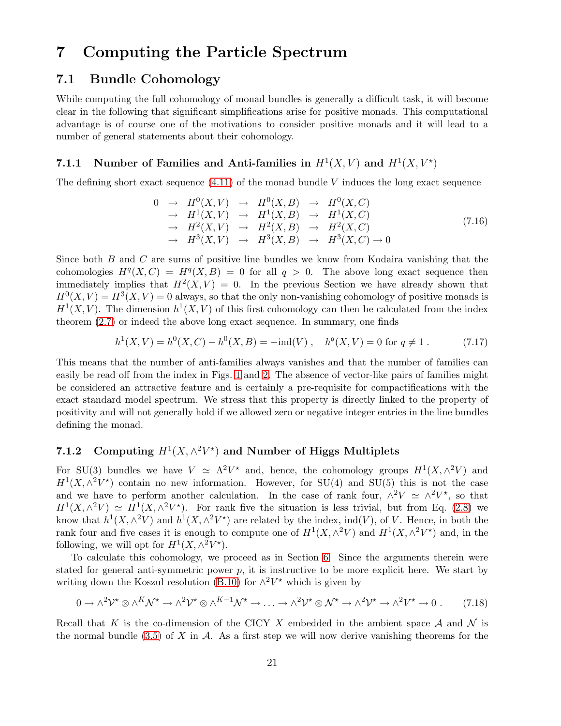## <span id="page-21-1"></span><span id="page-21-0"></span>7 Computing the Particle Spectrum

#### 7.1 Bundle Cohomology

While computing the full cohomology of monad bundles is generally a difficult task, it will become clear in the following that significant simplifications arise for positive monads. This computational advantage is of course one of the motivations to consider positive monads and it will lead to a number of general statements about their cohomology.

#### <span id="page-21-2"></span>7.1.1 Number of Families and Anti-families in  $H^1(X, V)$  and  $H^1(X, V^*)$

The defining short exact sequence  $(4.11)$  of the monad bundle V induces the long exact sequence

$$
0 \rightarrow H^{0}(X,V) \rightarrow H^{0}(X,B) \rightarrow H^{0}(X,C)
$$
  
\n
$$
\rightarrow H^{1}(X,V) \rightarrow H^{1}(X,B) \rightarrow H^{1}(X,C)
$$
  
\n
$$
\rightarrow H^{2}(X,V) \rightarrow H^{2}(X,B) \rightarrow H^{2}(X,C)
$$
  
\n
$$
\rightarrow H^{3}(X,V) \rightarrow H^{3}(X,B) \rightarrow H^{3}(X,C) \rightarrow 0
$$
\n(7.16)

Since both B and C are sums of positive line bundles we know from Kodaira vanishing that the cohomologies  $H^q(X, C) = H^q(X, B) = 0$  for all  $q > 0$ . The above long exact sequence then immediately implies that  $H^2(X, V) = 0$ . In the previous Section we have already shown that  $H^{0}(X, V) = H^{3}(X, V) = 0$  always, so that the only non-vanishing cohomology of positive monads is  $H<sup>1</sup>(X, V)$ . The dimension  $h<sup>1</sup>(X, V)$  of this first cohomology can then be calculated from the index theorem [\(2.7\)](#page-5-3) or indeed the above long exact sequence. In summary, one finds

$$
h^{1}(X, V) = h^{0}(X, C) - h^{0}(X, B) = -\text{ind}(V), \quad h^{q}(X, V) = 0 \text{ for } q \neq 1.
$$
 (7.17)

This means that the number of anti-families always vanishes and that the number of families can easily be read off from the index in Figs. [1](#page-17-1) and [2.](#page-18-1) The absence of vector-like pairs of families might be considered an attractive feature and is certainly a pre-requisite for compactifications with the exact standard model spectrum. We stress that this property is directly linked to the property of positivity and will not generally hold if we allowed zero or negative integer entries in the line bundles defining the monad.

#### <span id="page-21-3"></span>7.1.2 Computing  $H^1(X, \wedge^2 V^*)$  and Number of Higgs Multiplets

For SU(3) bundles we have  $V \simeq \Lambda^2 V^*$  and, hence, the cohomology groups  $H^1(X, \Lambda^2 V)$  and  $H<sup>1</sup>(X, \wedge^2 V^*)$  contain no new information. However, for SU(4) and SU(5) this is not the case and we have to perform another calculation. In the case of rank four,  $\wedge^2 V \simeq \wedge^2 V^*$ , so that  $H^1(X, \wedge^2 V) \simeq H^1(X, \wedge^2 V^*)$ . For rank five the situation is less trivial, but from Eq. [\(2.8\)](#page-5-4) we know that  $h^1(X, \wedge^2 V)$  and  $h^1(X, \wedge^2 V^*)$  are related by the index, ind(V), of V. Hence, in both the rank four and five cases it is enough to compute one of  $H^1(X, \wedge^2 V)$  and  $H^1(X, \wedge^2 V^*)$  and, in the following, we will opt for  $H^1(X, \wedge^2 V^*)$ .

To calculate this cohomology, we proceed as in Section [6.](#page-17-0) Since the arguments therein were stated for general anti-symmetric power  $p$ , it is instructive to be more explicit here. We start by writing down the Koszul resolution [\(B.10\)](#page-28-2) for  $\wedge^2 V^*$  which is given by

<span id="page-21-4"></span>
$$
0 \to \wedge^2 \mathcal{V}^* \otimes \wedge^K \mathcal{N}^* \to \wedge^2 \mathcal{V}^* \otimes \wedge^{K-1} \mathcal{N}^* \to \ldots \to \wedge^2 \mathcal{V}^* \otimes \mathcal{N}^* \to \wedge^2 \mathcal{V}^* \to \wedge^2 V^* \to 0
$$
 (7.18)

Recall that K is the co-dimension of the CICY X embedded in the ambient space A and N is the normal bundle [\(3.5\)](#page-7-4) of X in  $\mathcal A$ . As a first step we will now derive vanishing theorems for the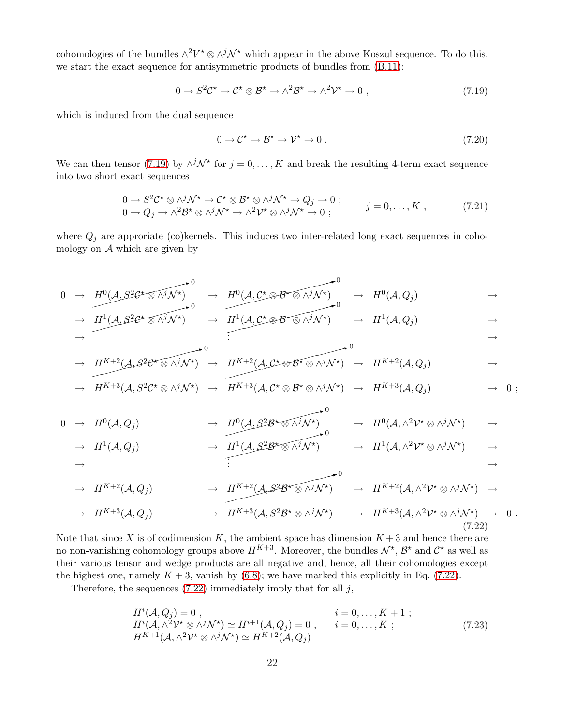cohomologies of the bundles  $\wedge^2 V^* \otimes \wedge^j \mathcal{N}^*$  which appear in the above Koszul sequence. To do this, we start the exact sequence for antisymmetric products of bundles from [\(B.11\)](#page-28-3):

<span id="page-22-0"></span>
$$
0 \to S^2 \mathcal{C}^{\star} \to \mathcal{C}^{\star} \otimes \mathcal{B}^{\star} \to \wedge^2 \mathcal{B}^{\star} \to \wedge^2 \mathcal{V}^{\star} \to 0 , \qquad (7.19)
$$

which is induced from the dual sequence

$$
0 \to \mathcal{C}^{\star} \to \mathcal{B}^{\star} \to \mathcal{V}^{\star} \to 0. \tag{7.20}
$$

We can then tensor [\(7.19\)](#page-22-0) by  $\wedge^j \mathcal{N}^*$  for  $j = 0, \ldots, K$  and break the resulting 4-term exact sequence into two short exact sequences

$$
\begin{array}{ll}\n0 \to S^2 \mathcal{C}^\star \otimes \wedge^j \mathcal{N}^\star \to \mathcal{C}^\star \otimes \mathcal{B}^\star \otimes \wedge^j \mathcal{N}^\star \to Q_j \to 0 ; \\
0 \to Q_j \to \wedge^2 \mathcal{B}^\star \otimes \wedge^j \mathcal{N}^\star \to \wedge^2 \mathcal{V}^\star \otimes \wedge^j \mathcal{N}^\star \to 0 ;\n\end{array}\n\quad j = 0, \dots, K ,\n\tag{7.21}
$$

where  $Q_j$  are approriate (co)kernels. This induces two inter-related long exact sequences in cohomology on  $A$  which are given by

$$
0 \rightarrow H^{0}(A, S^{2}C^{*} \otimes \Lambda^{j} \mathcal{N}^{*}) \rightarrow H^{0}(A, C^{*} \otimes B^{*} \otimes \Lambda^{j} \mathcal{N}^{*}) \rightarrow H^{0}(A, Q_{j}) \rightarrow \mathcal{N}^{0}
$$

→ ✘✘✘✘✘✘✘✘✘✘✘✿<sup>0</sup> H<sup>1</sup> (A, S2C <sup>⋆</sup> ⊗ ∧jN <sup>⋆</sup> ) → ✘✘✘✘✘✘✘✘✘✘✘✘✿<sup>0</sup> H<sup>1</sup> (A, C <sup>⋆</sup> ⊗ B<sup>⋆</sup> ⊗ ∧jN <sup>⋆</sup> ) → H<sup>1</sup> (A, Q<sup>j</sup> ) → → . . . →

$$
\rightarrow H^{K+2}(A,\mathcal{S}^2\mathcal{C}^*\otimes\wedge^j\mathcal{N}^*)\rightarrow H^{K+2}(A,\mathcal{C}^*\otimes\mathcal{B}^*\otimes\wedge^j\mathcal{N}^*)\rightarrow H^{K+2}(A,Q_j)\rightarrow 0
$$

$$
\rightarrow H^{K+3}(\mathcal{A}, S^2\mathcal{C}^{\star}\otimes \wedge^j \mathcal{N}^{\star}) \rightarrow H^{K+3}(\mathcal{A}, \mathcal{C}^{\star}\otimes \mathcal{B}^{\star}\otimes \wedge^j \mathcal{N}^{\star}) \rightarrow H^{K+3}(\mathcal{A}, Q_j) \rightarrow 0 ;
$$

<span id="page-22-1"></span>
$$
0 \rightarrow H^{0}(\mathcal{A}, Q_{j}) \rightarrow H^{0}(\mathcal{A}, S^{2} \mathcal{B}^{\star} \otimes \wedge^{j} \mathcal{N}^{\star}) \rightarrow H^{0}(\mathcal{A}, \wedge^{2} \mathcal{V}^{\star} \otimes \wedge^{j} \mathcal{N}^{\star}) \rightarrow
$$

$$
\rightarrow H^{1}(\mathcal{A}, Q_{j}) \rightarrow H^{1}(\mathcal{A}, S^{2} \mathcal{B}^{*} \otimes \wedge^{j} \mathcal{N}^{*}) \rightarrow H^{1}(\mathcal{A}, \wedge^{2} \mathcal{V}^{*} \otimes \wedge^{j} \mathcal{N}^{*}) \rightarrow
$$

$$
\rightarrow H^{K+2}(\mathcal{A}, Q_j) \rightarrow H^{K+2}(\mathcal{A}, S^2 \mathcal{B}^{\star} \otimes \wedge^j \mathcal{N}^{\star}) \rightarrow H^{K+2}(\mathcal{A}, \wedge^2 \mathcal{V}^{\star} \otimes \wedge^j \mathcal{N}^{\star}) \rightarrow
$$

$$
\rightarrow H^{K+3}(\mathcal{A}, Q_j) \qquad \rightarrow H^{K+3}(\mathcal{A}, S^2 \mathcal{B}^* \otimes \wedge^j \mathcal{N}^*) \qquad \rightarrow H^{K+3}(\mathcal{A}, \wedge^2 \mathcal{V}^* \otimes \wedge^j \mathcal{N}^*) \rightarrow 0.
$$
\n(7.22)

Note that since X is of codimension K, the ambient space has dimension  $K + 3$  and hence there are no non-vanishing cohomology groups above  $H^{K+3}$ . Moreover, the bundles  $\mathcal{N}^{\star}$ ,  $\mathcal{B}^{\star}$  and  $\mathcal{C}^{\star}$  as well as their various tensor and wedge products are all negative and, hence, all their cohomologies except the highest one, namely  $K + 3$ , vanish by  $(6.8)$ ; we have marked this explicitly in Eq. [\(7.22\)](#page-22-1).

Therefore, the sequences  $(7.22)$  immediately imply that for all j,

<span id="page-22-2"></span>
$$
H^{i}(A, Q_{j}) = 0, \t i = 0,..., K + 1 ;
$$
  
\n
$$
H^{i}(A, \wedge^{2} \mathcal{V}^{*} \otimes \wedge^{j} \mathcal{N}^{*}) \simeq H^{i+1}(A, Q_{j}) = 0, \t i = 0,..., K ;
$$
  
\n
$$
H^{K+1}(A, \wedge^{2} \mathcal{V}^{*} \otimes \wedge^{j} \mathcal{N}^{*}) \simeq H^{K+2}(A, Q_{j})
$$
\n(7.23)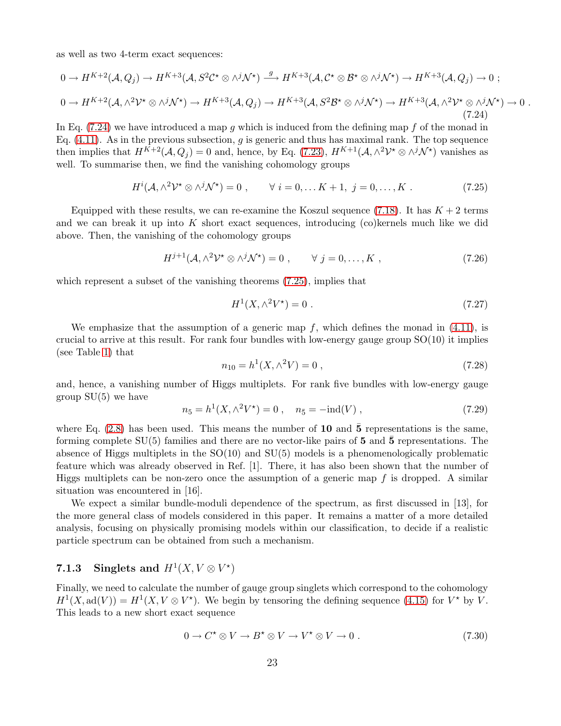as well as two 4-term exact sequences:

<span id="page-23-1"></span>
$$
0 \to H^{K+2}(\mathcal{A}, Q_j) \to H^{K+3}(\mathcal{A}, S^2 \mathcal{C}^* \otimes \wedge^j \mathcal{N}^*) \xrightarrow{g} H^{K+3}(\mathcal{A}, \mathcal{C}^* \otimes \mathcal{B}^* \otimes \wedge^j \mathcal{N}^*) \to H^{K+3}(\mathcal{A}, Q_j) \to 0 ;
$$
  
\n
$$
0 \to H^{K+2}(\mathcal{A}, \wedge^2 \mathcal{V}^* \otimes \wedge^j \mathcal{N}^*) \to H^{K+3}(\mathcal{A}, Q_j) \to H^{K+3}(\mathcal{A}, S^2 \mathcal{B}^* \otimes \wedge^j \mathcal{N}^*) \to H^{K+3}(\mathcal{A}, \wedge^2 \mathcal{V}^* \otimes \wedge^j \mathcal{N}^*) \to 0 .
$$
  
\n(7.24)

In Eq.  $(7.24)$  we have introduced a map q which is induced from the defining map f of the monad in Eq.  $(4.11)$ . As in the previous subsection, q is generic and thus has maximal rank. The top sequence then implies that  $H^{K+2}(\mathcal{A}, Q_j) = 0$  and, hence, by Eq. [\(7.23\)](#page-22-2),  $H^{K+1}(\mathcal{A}, \wedge^2 \mathcal{V}^* \otimes \wedge^j \mathcal{N}^*)$  vanishes as well. To summarise then, we find the vanishing cohomology groups

<span id="page-23-2"></span>
$$
H^{i}(\mathcal{A}, \wedge^{2} \mathcal{V}^{\star} \otimes \wedge^{j} \mathcal{N}^{\star}) = 0 , \qquad \forall i = 0, \dots K + 1, j = 0, \dots, K . \tag{7.25}
$$

Equipped with these results, we can re-examine the Koszul sequence [\(7.18\)](#page-21-4). It has  $K + 2$  terms and we can break it up into K short exact sequences, introducing  $(c)$  kernels much like we did above. Then, the vanishing of the cohomology groups

$$
H^{j+1}(\mathcal{A}, \wedge^2 \mathcal{V}^* \otimes \wedge^j \mathcal{N}^*) = 0 , \qquad \forall \ j = 0, \dots, K , \qquad (7.26)
$$

which represent a subset of the vanishing theorems [\(7.25\)](#page-23-2), implies that

$$
H^1(X, \wedge^2 V^\star) = 0 \tag{7.27}
$$

We emphasize that the assumption of a generic map  $f$ , which defines the monad in  $(4.11)$ , is crucial to arrive at this result. For rank four bundles with low-energy gauge group  $SO(10)$  it implies (see Table [1\)](#page-6-1) that

$$
n_{10} = h^1(X, \wedge^2 V) = 0 , \qquad (7.28)
$$

and, hence, a vanishing number of Higgs multiplets. For rank five bundles with low-energy gauge group  $SU(5)$  we have

$$
n_5 = h^1(X, \wedge^2 V^*) = 0 , \quad n_{\bar{5}} = -\text{ind}(V) , \qquad (7.29)
$$

where Eq.  $(2.8)$  has been used. This means the number of 10 and  $\bar{5}$  representations is the same, forming complete  $SU(5)$  families and there are no vector-like pairs of 5 and 5 representations. The absence of Higgs multiplets in the SO(10) and SU(5) models is a phenomenologically problematic feature which was already observed in Ref. [1]. There, it has also been shown that the number of Higgs multiplets can be non-zero once the assumption of a generic map  $f$  is dropped. A similar situation was encountered in [16].

We expect a similar bundle-moduli dependence of the spectrum, as first discussed in [13], for the more general class of models considered in this paper. It remains a matter of a more detailed analysis, focusing on physically promising models within our classification, to decide if a realistic particle spectrum can be obtained from such a mechanism.

#### <span id="page-23-0"></span>7.1.3 Singlets and  $H^1(X, V \otimes V^*)$

Finally, we need to calculate the number of gauge group singlets which correspond to the cohomology  $H^1(X, \text{ad}(V)) = H^1(X, V \otimes V^*)$ . We begin by tensoring the defining sequence [\(4.15\)](#page-11-2) for  $V^*$  by V. This leads to a new short exact sequence

$$
0 \to C^* \otimes V \to B^* \otimes V \to V^* \otimes V \to 0. \tag{7.30}
$$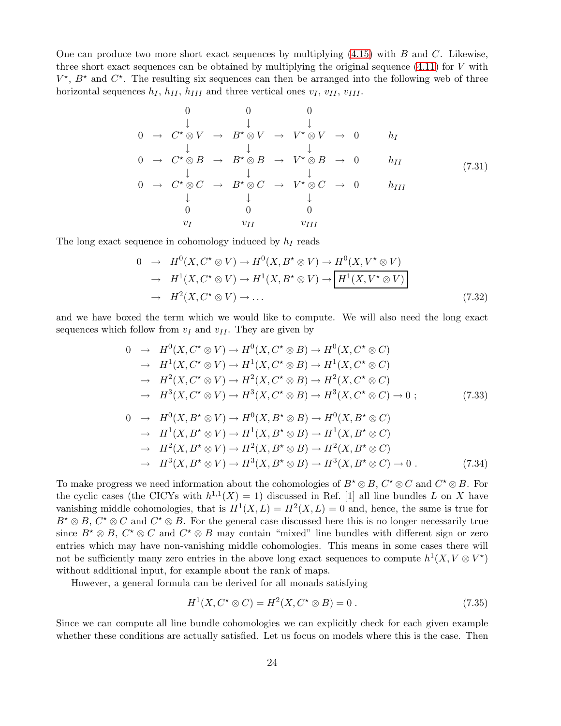One can produce two more short exact sequences by multiplying  $(4.15)$  with B and C. Likewise, three short exact sequences can be obtained by multiplying the original sequence  $(4.11)$  for V with  $V^{\star}$ ,  $B^{\star}$  and  $C^{\star}$ . The resulting six sequences can then be arranged into the following web of three horizontal sequences  $h_I$ ,  $h_{II}$ ,  $h_{III}$  and three vertical ones  $v_I$ ,  $v_{II}$ ,  $v_{III}$ .

$$
0 \t 0 \t 0
$$
\n
$$
\downarrow \t \downarrow \t \downarrow
$$
\n
$$
0 \t \rightarrow C^* \otimes V \t \rightarrow B^* \otimes V \t \rightarrow V^* \otimes V \t \rightarrow 0
$$
\n
$$
0 \t \downarrow \t \downarrow \t \downarrow
$$
\n
$$
0 \t \rightarrow C^* \otimes B \t \rightarrow B^* \otimes B \t \rightarrow V^* \otimes B \t \rightarrow 0
$$
\n
$$
0 \t \downarrow \t \downarrow \t \downarrow
$$
\n
$$
0 \t \rightarrow C^* \otimes C \t \rightarrow B^* \otimes C \t \rightarrow V^* \otimes C \t \rightarrow 0
$$
\n
$$
\downarrow \t \downarrow
$$
\n
$$
0 \t 0 \t 0
$$
\n
$$
v_I \t v_{II} \t v_{III}
$$
\n(7.31)

The long exact sequence in cohomology induced by  $h_I$  reads

<span id="page-24-1"></span>
$$
0 \rightarrow H^{0}(X, C^{*} \otimes V) \rightarrow H^{0}(X, B^{*} \otimes V) \rightarrow H^{0}(X, V^{*} \otimes V)
$$
  
\n
$$
\rightarrow H^{1}(X, C^{*} \otimes V) \rightarrow H^{1}(X, B^{*} \otimes V) \rightarrow \boxed{H^{1}(X, V^{*} \otimes V)}
$$
  
\n
$$
\rightarrow H^{2}(X, C^{*} \otimes V) \rightarrow \dots
$$
 (7.32)

and we have boxed the term which we would like to compute. We will also need the long exact sequences which follow from  $v_I$  and  $v_{II}$ . They are given by

<span id="page-24-0"></span>
$$
0 \rightarrow H^{0}(X, C^{*} \otimes V) \rightarrow H^{0}(X, C^{*} \otimes B) \rightarrow H^{0}(X, C^{*} \otimes C)
$$
  
\n
$$
\rightarrow H^{1}(X, C^{*} \otimes V) \rightarrow H^{1}(X, C^{*} \otimes B) \rightarrow H^{1}(X, C^{*} \otimes C)
$$
  
\n
$$
\rightarrow H^{2}(X, C^{*} \otimes V) \rightarrow H^{2}(X, C^{*} \otimes B) \rightarrow H^{2}(X, C^{*} \otimes C)
$$
  
\n
$$
\rightarrow H^{3}(X, C^{*} \otimes V) \rightarrow H^{3}(X, C^{*} \otimes B) \rightarrow H^{3}(X, C^{*} \otimes C) \rightarrow 0 ; \qquad (7.33)
$$

$$
0 \rightarrow H^{0}(X, B^{*} \otimes V) \rightarrow H^{0}(X, B^{*} \otimes B) \rightarrow H^{0}(X, B^{*} \otimes C)
$$
  
\n
$$
\rightarrow H^{1}(X, B^{*} \otimes V) \rightarrow H^{1}(X, B^{*} \otimes B) \rightarrow H^{1}(X, B^{*} \otimes C)
$$
  
\n
$$
\rightarrow H^{2}(X, B^{*} \otimes V) \rightarrow H^{2}(X, B^{*} \otimes B) \rightarrow H^{2}(X, B^{*} \otimes C)
$$
  
\n
$$
\rightarrow H^{3}(X, B^{*} \otimes V) \rightarrow H^{3}(X, B^{*} \otimes B) \rightarrow H^{3}(X, B^{*} \otimes C) \rightarrow 0.
$$
 (7.34)

To make progress we need information about the cohomologies of  $B^* \otimes B$ ,  $C^* \otimes C$  and  $C^* \otimes B$ . For the cyclic cases (the CICYs with  $h^{1,1}(X) = 1$ ) discussed in Ref. [1] all line bundles L on X have vanishing middle cohomologies, that is  $H^1(X, L) = H^2(X, L) = 0$  and, hence, the same is true for  $B^{\star} \otimes B$ ,  $C^{\star} \otimes C$  and  $C^{\star} \otimes B$ . For the general case discussed here this is no longer necessarily true since  $B^* \otimes B$ ,  $C^* \otimes C$  and  $C^* \otimes B$  may contain "mixed" line bundles with different sign or zero entries which may have non-vanishing middle cohomologies. This means in some cases there will not be sufficiently many zero entries in the above long exact sequences to compute  $h^1(X, V \otimes V^*)$ without additional input, for example about the rank of maps.

However, a general formula can be derived for all monads satisfying

<span id="page-24-2"></span>
$$
H1(X, C* \otimes C) = H2(X, C* \otimes B) = 0.
$$
 (7.35)

Since we can compute all line bundle cohomologies we can explicitly check for each given example whether these conditions are actually satisfied. Let us focus on models where this is the case. Then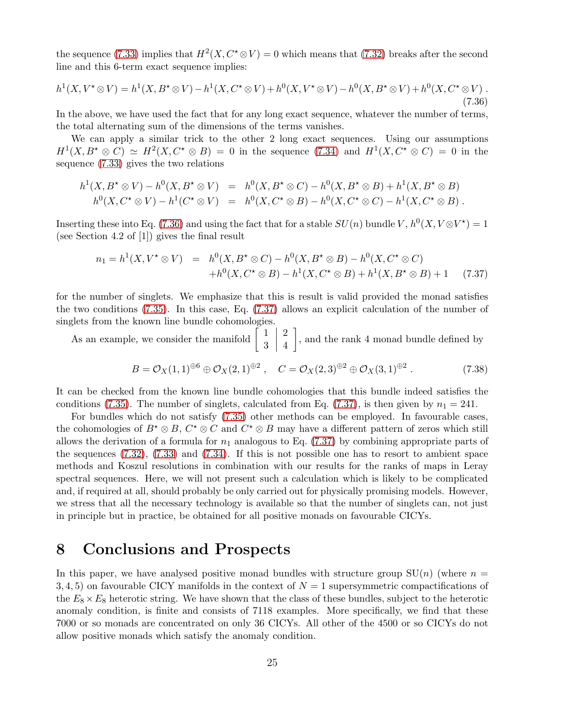the sequence [\(7.33\)](#page-24-0) implies that  $H^2(X, C^* \otimes V) = 0$  which means that [\(7.32\)](#page-24-1) breaks after the second line and this 6-term exact sequence implies:

<span id="page-25-1"></span>
$$
h^{1}(X, V^{*} \otimes V) = h^{1}(X, B^{*} \otimes V) - h^{1}(X, C^{*} \otimes V) + h^{0}(X, V^{*} \otimes V) - h^{0}(X, B^{*} \otimes V) + h^{0}(X, C^{*} \otimes V).
$$
\n(7.36)

In the above, we have used the fact that for any long exact sequence, whatever the number of terms, the total alternating sum of the dimensions of the terms vanishes.

We can apply a similar trick to the other 2 long exact sequences. Using our assumptions  $H^1(X, B^* \otimes C) \simeq H^2(X, C^* \otimes B) = 0$  in the sequence [\(7.34\)](#page-24-0) and  $H^1(X, C^* \otimes C) = 0$  in the sequence [\(7.33\)](#page-24-0) gives the two relations

$$
h^1(X, B^* \otimes V) - h^0(X, B^* \otimes V) = h^0(X, B^* \otimes C) - h^0(X, B^* \otimes B) + h^1(X, B^* \otimes B)
$$
  

$$
h^0(X, C^* \otimes V) - h^1(C^* \otimes V) = h^0(X, C^* \otimes B) - h^0(X, C^* \otimes C) - h^1(X, C^* \otimes B).
$$

Inserting these into Eq. [\(7.36\)](#page-25-1) and using the fact that for a stable  $SU(n)$  bundle  $V, h^0(X, V \otimes V^*) = 1$ (see Section 4.2 of [1]) gives the final result

<span id="page-25-2"></span>
$$
n_1 = h^1(X, V^* \otimes V) = h^0(X, B^* \otimes C) - h^0(X, B^* \otimes B) - h^0(X, C^* \otimes C)
$$
  
+ 
$$
h^0(X, C^* \otimes B) - h^1(X, C^* \otimes B) + h^1(X, B^* \otimes B) + 1 \quad (7.37)
$$

for the number of singlets. We emphasize that this is result is valid provided the monad satisfies the two conditions [\(7.35\)](#page-24-2). In this case, Eq. [\(7.37\)](#page-25-2) allows an explicit calculation of the number of singlets from the known line bundle cohomologies.

As an example, we consider the manifold  $\begin{bmatrix} 1 \\ 2 \end{bmatrix}$ 3  $\begin{array}{c} \begin{array}{c} \begin{array}{c} \begin{array}{c} \end{array}\\ \end{array} \end{array} \end{array}$ 2 4 , and the rank 4 monad bundle defined by

$$
B = \mathcal{O}_X(1,1)^{\oplus 6} \oplus \mathcal{O}_X(2,1)^{\oplus 2} , \quad C = \mathcal{O}_X(2,3)^{\oplus 2} \oplus \mathcal{O}_X(3,1)^{\oplus 2} . \tag{7.38}
$$

It can be checked from the known line bundle cohomologies that this bundle indeed satisfies the conditions [\(7.35\)](#page-24-2). The number of singlets, calculated from Eq. [\(7.37\)](#page-25-2), is then given by  $n_1 = 241$ .

For bundles which do not satisfy [\(7.35\)](#page-24-2) other methods can be employed. In favourable cases, the cohomologies of  $B^* \otimes B$ ,  $C^* \otimes C$  and  $C^* \otimes B$  may have a different pattern of zeros which still allows the derivation of a formula for  $n_1$  analogous to Eq. [\(7.37\)](#page-25-2) by combining appropriate parts of the sequences [\(7.32\)](#page-24-1), [\(7.33\)](#page-24-0) and [\(7.34\)](#page-24-0). If this is not possible one has to resort to ambient space methods and Koszul resolutions in combination with our results for the ranks of maps in Leray spectral sequences. Here, we will not present such a calculation which is likely to be complicated and, if required at all, should probably be only carried out for physically promising models. However, we stress that all the necessary technology is available so that the number of singlets can, not just in principle but in practice, be obtained for all positive monads on favourable CICYs.

## <span id="page-25-0"></span>8 Conclusions and Prospects

In this paper, we have analysed positive monad bundles with structure group  $SU(n)$  (where  $n =$ 3, 4, 5) on favourable CICY manifolds in the context of  $N = 1$  supersymmetric compactifications of the  $E_8 \times E_8$  heterotic string. We have shown that the class of these bundles, subject to the heterotic anomaly condition, is finite and consists of 7118 examples. More specifically, we find that these 7000 or so monads are concentrated on only 36 CICYs. All other of the 4500 or so CICYs do not allow positive monads which satisfy the anomaly condition.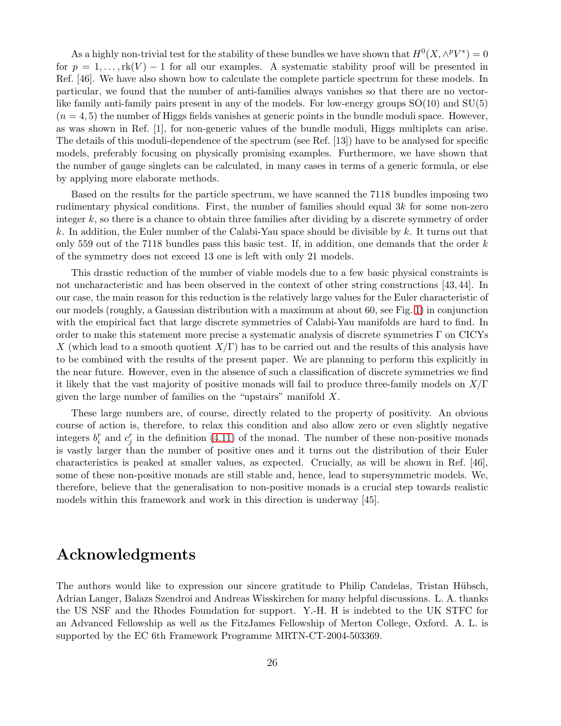As a highly non-trivial test for the stability of these bundles we have shown that  $H^0(X, \wedge^p V^*) = 0$ for  $p = 1, \ldots, \text{rk}(V) - 1$  for all our examples. A systematic stability proof will be presented in Ref. [46]. We have also shown how to calculate the complete particle spectrum for these models. In particular, we found that the number of anti-families always vanishes so that there are no vectorlike family anti-family pairs present in any of the models. For low-energy groups SO(10) and SU(5)  $(n = 4, 5)$  the number of Higgs fields vanishes at generic points in the bundle moduli space. However, as was shown in Ref. [1], for non-generic values of the bundle moduli, Higgs multiplets can arise. The details of this moduli-dependence of the spectrum (see Ref. [13]) have to be analysed for specific models, preferably focusing on physically promising examples. Furthermore, we have shown that the number of gauge singlets can be calculated, in many cases in terms of a generic formula, or else by applying more elaborate methods.

Based on the results for the particle spectrum, we have scanned the 7118 bundles imposing two rudimentary physical conditions. First, the number of families should equal 3k for some non-zero integer k, so there is a chance to obtain three families after dividing by a discrete symmetry of order k. In addition, the Euler number of the Calabi-Yau space should be divisible by  $k$ . It turns out that only 559 out of the 7118 bundles pass this basic test. If, in addition, one demands that the order  $k$ of the symmetry does not exceed 13 one is left with only 21 models.

This drastic reduction of the number of viable models due to a few basic physical constraints is not uncharacteristic and has been observed in the context of other string constructions [43, 44]. In our case, the main reason for this reduction is the relatively large values for the Euler characteristic of our models (roughly, a Gaussian distribution with a maximum at about 60, see Fig. [1\)](#page-17-1) in conjunction with the empirical fact that large discrete symmetries of Calabi-Yau manifolds are hard to find. In order to make this statement more precise a systematic analysis of discrete symmetries Γ on CICYs X (which lead to a smooth quotient  $X/\Gamma$ ) has to be carried out and the results of this analysis have to be combined with the results of the present paper. We are planning to perform this explicitly in the near future. However, even in the absence of such a classification of discrete symmetries we find it likely that the vast majority of positive monads will fail to produce three-family models on  $X/\Gamma$ given the large number of families on the "upstairs" manifold X.

These large numbers are, of course, directly related to the property of positivity. An obvious course of action is, therefore, to relax this condition and also allow zero or even slightly negative integers  $b_i^r$  and  $c_j^r$  in the definition [\(4.11\)](#page-10-1) of the monad. The number of these non-positive monads is vastly larger than the number of positive ones and it turns out the distribution of their Euler characteristics is peaked at smaller values, as expected. Crucially, as will be shown in Ref. [46], some of these non-positive monads are still stable and, hence, lead to supersymmetric models. We, therefore, believe that the generalisation to non-positive monads is a crucial step towards realistic models within this framework and work in this direction is underway [45].

## Acknowledgments

The authors would like to expression our sincere gratitude to Philip Candelas, Tristan Hübsch, Adrian Langer, Balazs Szendroi and Andreas Wisskirchen for many helpful discussions. L. A. thanks the US NSF and the Rhodes Foundation for support. Y.-H. H is indebted to the UK STFC for an Advanced Fellowship as well as the FitzJames Fellowship of Merton College, Oxford. A. L. is supported by the EC 6th Framework Programme MRTN-CT-2004-503369.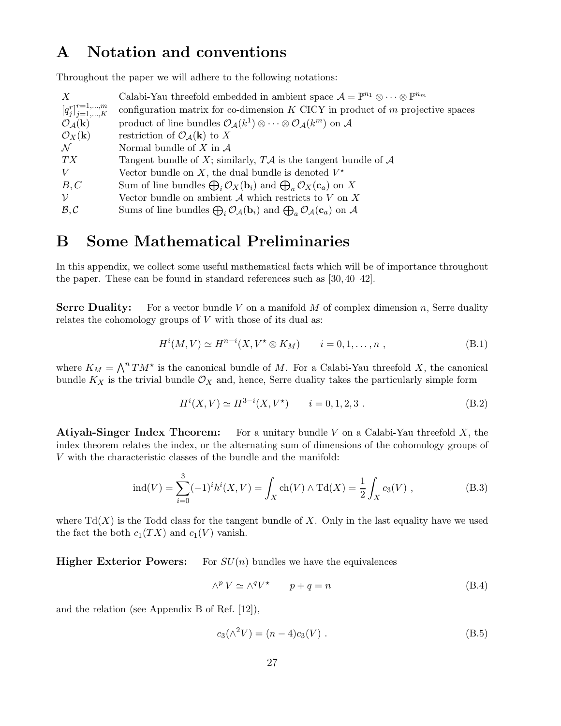## <span id="page-27-0"></span>A Notation and conventions

Throughout the paper we will adhere to the following notations:

| X                                       | Calabi-Yau threefold embedded in ambient space $\mathcal{A} = \mathbb{P}^{n_1} \otimes \cdots \otimes \mathbb{P}^{n_m}$                   |
|-----------------------------------------|-------------------------------------------------------------------------------------------------------------------------------------------|
| $[q_j^r]_{j=1,,K}^{r=1,,m}$             | configuration matrix for co-dimension $K$ CICY in product of $m$ projective spaces                                                        |
| $\mathcal{O}_{\mathcal{A}}(\mathbf{k})$ | product of line bundles $\mathcal{O}_{\mathcal{A}}(k^1) \otimes \cdots \otimes \mathcal{O}_{\mathcal{A}}(k^m)$ on A                       |
| $\mathcal{O}_X(\mathbf{k})$             | restriction of $\mathcal{O}_{\mathcal{A}}(\mathbf{k})$ to X                                                                               |
| $\mathcal N$                            | Normal bundle of X in $\mathcal A$                                                                                                        |
| TX                                      | Tangent bundle of X; similarly, $T\mathcal{A}$ is the tangent bundle of $\mathcal{A}$                                                     |
| V                                       | Vector bundle on X, the dual bundle is denoted $V^*$                                                                                      |
| B, C                                    | Sum of line bundles $\bigoplus_i \mathcal{O}_X(\mathbf{b}_i)$ and $\bigoplus_a \mathcal{O}_X(\mathbf{c}_a)$ on X                          |
| $\mathcal V$                            | Vector bundle on ambient $A$ which restricts to $V$ on $X$                                                                                |
| B, C                                    | Sums of line bundles $\bigoplus_i \mathcal{O}_{\mathcal{A}}(\mathbf{b}_i)$ and $\bigoplus_a \mathcal{O}_{\mathcal{A}}(\mathbf{c}_a)$ on A |

## <span id="page-27-1"></span>B Some Mathematical Preliminaries

In this appendix, we collect some useful mathematical facts which will be of importance throughout the paper. These can be found in standard references such as [30, 40–42].

**Serre Duality:** For a vector bundle V on a manifold M of complex dimension n, Serre duality relates the cohomology groups of  $V$  with those of its dual as:

<span id="page-27-3"></span>
$$
H^{i}(M, V) \simeq H^{n-i}(X, V^* \otimes K_M) \qquad i = 0, 1, \dots, n , \qquad (B.1)
$$

where  $K_M = \bigwedge^n TM^*$  is the canonical bundle of M. For a Calabi-Yau threefold X, the canonical bundle  $K_X$  is the trivial bundle  $\mathcal{O}_X$  and, hence, Serre duality takes the particularly simple form

$$
H^{i}(X, V) \simeq H^{3-i}(X, V^*) \qquad i = 0, 1, 2, 3. \tag{B.2}
$$

**Atiyah-Singer Index Theorem:** For a unitary bundle V on a Calabi-Yau threefold  $X$ , the index theorem relates the index, or the alternating sum of dimensions of the cohomology groups of V with the characteristic classes of the bundle and the manifold:

<span id="page-27-4"></span>
$$
ind(V) = \sum_{i=0}^{3} (-1)^{i} h^{i}(X, V) = \int_{X} ch(V) \wedge T d(X) = \frac{1}{2} \int_{X} c_{3}(V) ,
$$
 (B.3)

where  $Td(X)$  is the Todd class for the tangent bundle of X. Only in the last equality have we used the fact the both  $c_1(TX)$  and  $c_1(V)$  vanish.

**Higher Exterior Powers:** For  $SU(n)$  bundles we have the equivalences

<span id="page-27-2"></span>
$$
\wedge^p V \simeq \wedge^q V^\star \qquad p + q = n \tag{B.4}
$$

and the relation (see Appendix B of Ref. [12]),

$$
c_3(\wedge^2 V) = (n-4)c_3(V) . \tag{B.5}
$$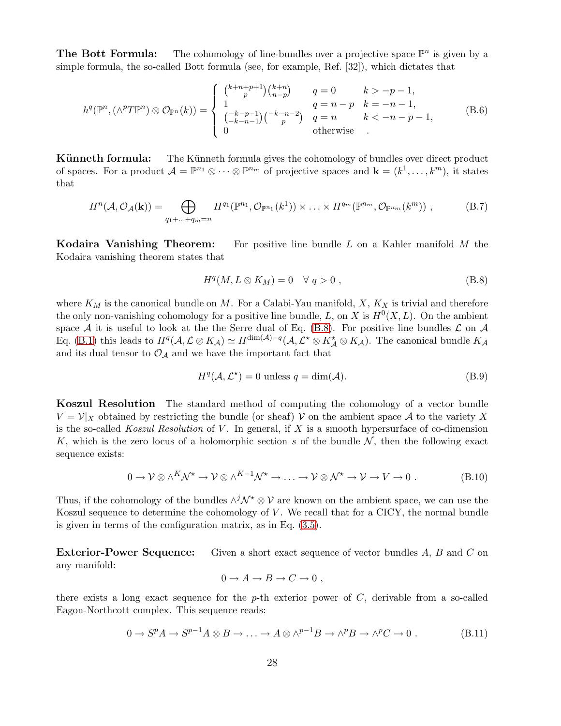**The Bott Formula:** The cohomology of line-bundles over a projective space  $\mathbb{P}^n$  is given by a simple formula, the so-called Bott formula (see, for example, Ref. [32]), which dictates that

<span id="page-28-1"></span>
$$
h^{q}(\mathbb{P}^{n},(\wedge^{p}T\mathbb{P}^{n})\otimes\mathcal{O}_{\mathbb{P}^{n}}(k)) = \begin{cases} {k+n+p+1 \choose p}{k+n \choose n-p} & q=0 & k > -p-1, \\ 1 & q=n-p & k=-n-1, \\ {-(k-p-1) \choose -k-n-1}{-(k-n-2) \choose p} & q=n & k < -n-p-1, \\ 0 & \text{otherwise} \end{cases}
$$
(B.6)

**Künneth formula:** The Künneth formula gives the cohomology of bundles over direct product of spaces. For a product  $\mathcal{A} = \mathbb{P}^{n_1} \otimes \cdots \otimes \mathbb{P}^{n_m}$  of projective spaces and  $\mathbf{k} = (k^1, \ldots, k^m)$ , it states that

<span id="page-28-5"></span>
$$
H^{n}(\mathcal{A},\mathcal{O}_{\mathcal{A}}(\mathbf{k})) = \bigoplus_{q_1 + \ldots + q_m = n} H^{q_1}(\mathbb{P}^{n_1},\mathcal{O}_{\mathbb{P}^{n_1}}(k^1)) \times \ldots \times H^{q_m}(\mathbb{P}^{n_m},\mathcal{O}_{\mathbb{P}^{n_m}}(k^m)),
$$
 (B.7)

**Kodaira Vanishing Theorem:** For positive line bundle L on a Kahler manifold M the Kodaira vanishing theorem states that

<span id="page-28-0"></span>
$$
H^q(M, L \otimes K_M) = 0 \quad \forall \ q > 0 , \tag{B.8}
$$

where  $K_M$  is the canonical bundle on M. For a Calabi-Yau manifold, X,  $K_X$  is trivial and therefore the only non-vanishing cohomology for a positive line bundle, L, on X is  $H^0(X, L)$ . On the ambient space A it is useful to look at the the Serre dual of Eq. [\(B.8\)](#page-28-0). For positive line bundles  $\mathcal L$  on  $\mathcal A$ Eq. [\(B.1\)](#page-27-3) this leads to  $H^q(\mathcal{A}, \mathcal{L} \otimes K_{\mathcal{A}}) \simeq H^{\dim(\mathcal{A})-q}(\mathcal{A}, \mathcal{L}^* \otimes K_{\mathcal{A}}^* \otimes K_{\mathcal{A}})$ . The canonical bundle  $K_{\mathcal{A}}$ and its dual tensor to  $\mathcal{O}_{\mathcal{A}}$  and we have the important fact that

<span id="page-28-4"></span>
$$
H^{q}(\mathcal{A}, \mathcal{L}^{\star}) = 0 \text{ unless } q = \dim(\mathcal{A}).
$$
\n(B.9)

Koszul Resolution The standard method of computing the cohomology of a vector bundle  $V = \mathcal{V}|_X$  obtained by restricting the bundle (or sheaf) V on the ambient space A to the variety X is the so-called *Koszul Resolution* of V . In general, if X is a smooth hypersurface of co-dimension K, which is the zero locus of a holomorphic section s of the bundle  $\mathcal{N}$ , then the following exact sequence exists:

<span id="page-28-2"></span>
$$
0 \to \mathcal{V} \otimes \wedge^K \mathcal{N}^{\star} \to \mathcal{V} \otimes \wedge^{K-1} \mathcal{N}^{\star} \to \dots \to \mathcal{V} \otimes \mathcal{N}^{\star} \to \mathcal{V} \to V \to 0.
$$
 (B.10)

Thus, if the cohomology of the bundles  $\wedge^{j} \mathcal{N}^* \otimes \mathcal{V}$  are known on the ambient space, we can use the Koszul sequence to determine the cohomology of  $V$ . We recall that for a CICY, the normal bundle is given in terms of the configuration matrix, as in Eq. [\(3.5\)](#page-7-4).

**Exterior-Power Sequence:** Given a short exact sequence of vector bundles A, B and C on any manifold:

$$
0 \to A \to B \to C \to 0 ,
$$

there exists a long exact sequence for the p-th exterior power of  $C$ , derivable from a so-called Eagon-Northcott complex. This sequence reads:

<span id="page-28-3"></span>
$$
0 \to S^p A \to S^{p-1} A \otimes B \to \dots \to A \otimes \wedge^{p-1} B \to \wedge^p B \to \wedge^p C \to 0 .
$$
 (B.11)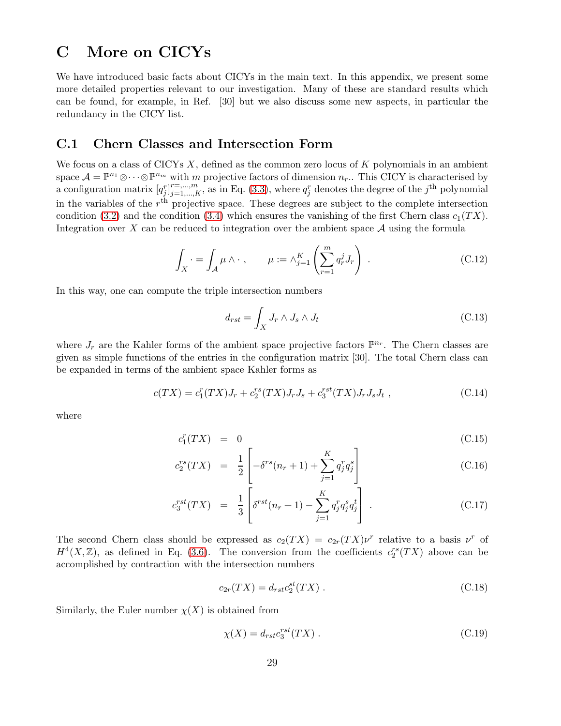## <span id="page-29-0"></span>C More on CICYs

We have introduced basic facts about CICYs in the main text. In this appendix, we present some more detailed properties relevant to our investigation. Many of these are standard results which can be found, for example, in Ref. [30] but we also discuss some new aspects, in particular the redundancy in the CICY list.

#### <span id="page-29-1"></span>C.1 Chern Classes and Intersection Form

We focus on a class of CICYs  $X$ , defined as the common zero locus of  $K$  polynomials in an ambient space  $\mathcal{A} = \mathbb{P}^{n_1} \otimes \cdots \otimes \mathbb{P}^{n_m}$  with m projective factors of dimension  $n_r$ .. This CICY is characterised by a configuration matrix  $[q_j^r]_{j=1,\dots,K}^{r=\dots,m}$ , as in Eq. [\(3.3\)](#page-7-1), where  $q_j^r$  denotes the degree of the j<sup>th</sup> polynomial in the variables of the  $r<sup>th</sup>$  projective space. These degrees are subject to the complete intersection condition [\(3.2\)](#page-7-2) and the condition [\(3.4\)](#page-7-3) which ensures the vanishing of the first Chern class  $c_1(TX)$ . Integration over X can be reduced to integration over the ambient space  $A$  using the formula

$$
\int_X \cdot \, = \, \int_{\mathcal{A}} \mu \wedge \cdot \, , \qquad \mu := \wedge_{j=1}^K \left( \sum_{r=1}^m q_r^j J_r \right) \, . \tag{C.12}
$$

In this way, one can compute the triple intersection numbers

<span id="page-29-2"></span>
$$
d_{rst} = \int_X J_r \wedge J_s \wedge J_t \tag{C.13}
$$

where  $J_r$  are the Kahler forms of the ambient space projective factors  $\mathbb{P}^{n_r}$ . The Chern classes are given as simple functions of the entries in the configuration matrix [30]. The total Chern class can be expanded in terms of the ambient space Kahler forms as

$$
c(TX) = c_1^r(TX)J_r + c_2^{rs}(TX)J_rJ_s + c_3^{rst}(TX)J_rJ_sJ_t,
$$
\n(C.14)

where

$$
c_1^r(TX) = 0 \tag{C.15}
$$

$$
c_2^{rs}(TX) = \frac{1}{2} \left[ -\delta^{rs}(n_r+1) + \sum_{j=1}^{K} q_j^r q_j^s \right]
$$
(C.16)

$$
c_3^{rst}(TX) = \frac{1}{3} \left[ \delta^{rst}(n_r + 1) - \sum_{j=1}^{K} q_j^r q_j^s q_j^t \right].
$$
 (C.17)

The second Chern class should be expressed as  $c_2(TX) = c_{2r}(TX)v^r$  relative to a basis  $v^r$  of  $H^4(X,\mathbb{Z})$ , as defined in Eq. [\(3.6\)](#page-8-2). The conversion from the coefficients  $c_2^{rs}(TX)$  above can be accomplished by contraction with the intersection numbers

$$
c_{2r}(TX) = d_{rst}c_2^{st}(TX) . \qquad (C.18)
$$

Similarly, the Euler number  $\chi(X)$  is obtained from

$$
\chi(X) = d_{rst} c_3^{rst}(TX) . \tag{C.19}
$$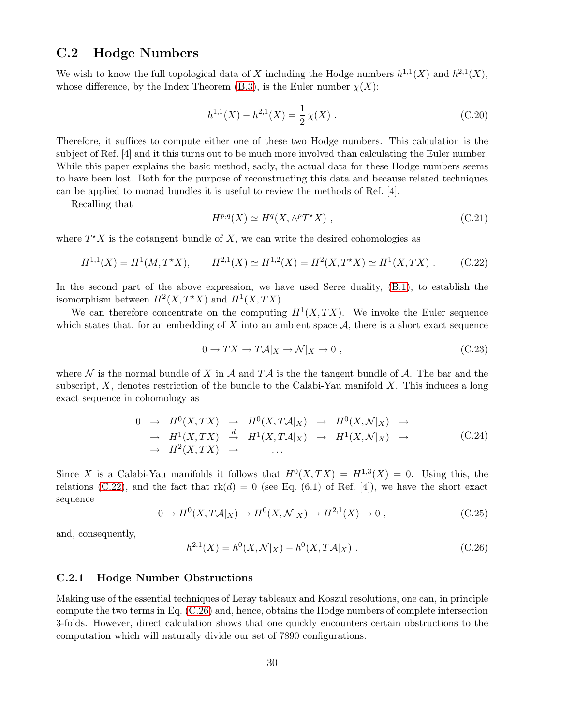### <span id="page-30-0"></span>C.2 Hodge Numbers

We wish to know the full topological data of X including the Hodge numbers  $h^{1,1}(X)$  and  $h^{2,1}(X)$ , whose difference, by the Index Theorem [\(B.3\)](#page-27-4), is the Euler number  $\chi(X)$ :

$$
h^{1,1}(X) - h^{2,1}(X) = \frac{1}{2}\chi(X) .
$$
 (C.20)

Therefore, it suffices to compute either one of these two Hodge numbers. This calculation is the subject of Ref. [4] and it this turns out to be much more involved than calculating the Euler number. While this paper explains the basic method, sadly, the actual data for these Hodge numbers seems to have been lost. Both for the purpose of reconstructing this data and because related techniques can be applied to monad bundles it is useful to review the methods of Ref. [4].

Recalling that

$$
H^{p,q}(X) \simeq H^q(X, \wedge^p T^*X) \;, \tag{C.21}
$$

where  $T^*X$  is the cotangent bundle of X, we can write the desired cohomologies as

<span id="page-30-2"></span>
$$
H^{1,1}(X) = H^1(M, T^*X), \qquad H^{2,1}(X) \simeq H^{1,2}(X) = H^2(X, T^*X) \simeq H^1(X, TX) \ . \tag{C.22}
$$

In the second part of the above expression, we have used Serre duality, [\(B.1\)](#page-27-3), to establish the isomorphism between  $H^2(X, T^*X)$  and  $H^1(X, TX)$ .

We can therefore concentrate on the computing  $H^1(X,TX)$ . We invoke the Euler sequence which states that, for an embedding of X into an ambient space  $A$ , there is a short exact sequence

$$
0 \to TX \to T\mathcal{A}|_X \to \mathcal{N}|_X \to 0 , \qquad (C.23)
$$

where  $\mathcal N$  is the normal bundle of X in A and TA is the the tangent bundle of A. The bar and the subscript,  $X$ , denotes restriction of the bundle to the Calabi-Yau manifold  $X$ . This induces a long exact sequence in cohomology as

$$
\begin{array}{rcl}\n0 & \rightarrow & H^0(X, TX) & \rightarrow & H^0(X, T\mathcal{A}|_X) & \rightarrow & H^0(X, \mathcal{N}|_X) & \rightarrow \\
 & \rightarrow & H^1(X, TX) & \xrightarrow{\mathrm{d}} & H^1(X, T\mathcal{A}|_X) & \rightarrow & H^1(X, \mathcal{N}|_X) & \rightarrow \\
 & \rightarrow & H^2(X, TX) & \rightarrow & \dots\n\end{array} \tag{C.24}
$$

Since X is a Calabi-Yau manifolds it follows that  $H^0(X, TX) = H^{1,3}(X) = 0$ . Using this, the relations [\(C.22\)](#page-30-2), and the fact that  $rk(d) = 0$  (see Eq. (6.1) of Ref. [4]), we have the short exact sequence

$$
0 \to H^0(X, T\mathcal{A}|_X) \to H^0(X, \mathcal{N}|_X) \to H^{2,1}(X) \to 0 , \qquad (C.25)
$$

and, consequently,

<span id="page-30-3"></span>
$$
h^{2,1}(X) = h^0(X, \mathcal{N}|_X) - h^0(X, T\mathcal{A}|_X) .
$$
 (C.26)

#### <span id="page-30-1"></span>C.2.1 Hodge Number Obstructions

Making use of the essential techniques of Leray tableaux and Koszul resolutions, one can, in principle compute the two terms in Eq. [\(C.26\)](#page-30-3) and, hence, obtains the Hodge numbers of complete intersection 3-folds. However, direct calculation shows that one quickly encounters certain obstructions to the computation which will naturally divide our set of 7890 configurations.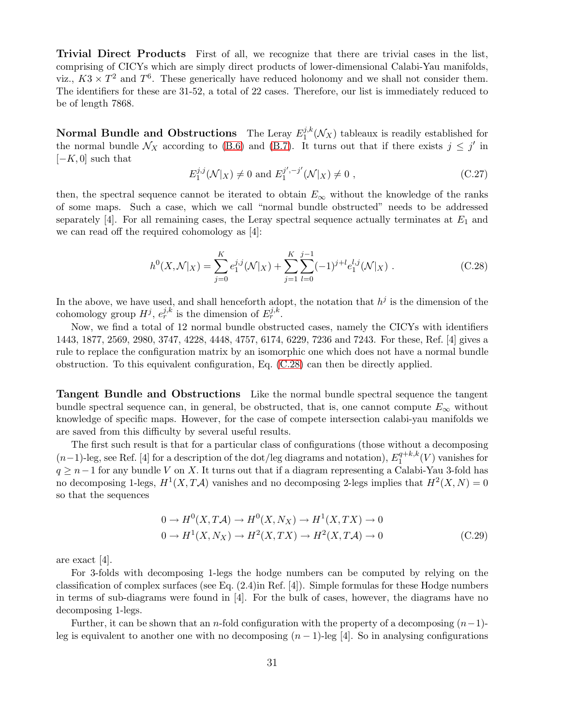Trivial Direct Products First of all, we recognize that there are trivial cases in the list, comprising of CICYs which are simply direct products of lower-dimensional Calabi-Yau manifolds, viz.,  $K3 \times T^2$  and  $T^6$ . These generically have reduced holonomy and we shall not consider them. The identifiers for these are 31-52, a total of 22 cases. Therefore, our list is immediately reduced to be of length 7868.

Normal Bundle and Obstructions The Leray  $E_1^{j,k}$  $L_1^{j,k}(\mathcal{N}_X)$  tableaux is readily established for the normal bundle  $\mathcal{N}_X$  according to [\(B.6\)](#page-28-1) and [\(B.7\)](#page-28-5). It turns out that if there exists  $j \leq j'$  in  $[-K, 0]$  such that

$$
E_1^{j,j}(\mathcal{N}|_X) \neq 0 \text{ and } E_1^{j',-j'}(\mathcal{N}|_X) \neq 0 ,
$$
 (C.27)

then, the spectral sequence cannot be iterated to obtain  $E_{\infty}$  without the knowledge of the ranks of some maps. Such a case, which we call "normal bundle obstructed" needs to be addressed separately [4]. For all remaining cases, the Leray spectral sequence actually terminates at  $E_1$  and we can read off the required cohomology as [4]:

<span id="page-31-0"></span>
$$
h^{0}(X,\mathcal{N}|_{X}) = \sum_{j=0}^{K} e_{1}^{j,j}(\mathcal{N}|_{X}) + \sum_{j=1}^{K} \sum_{l=0}^{j-1} (-1)^{j+l} e_{1}^{l,j}(\mathcal{N}|_{X}).
$$
\n(C.28)

In the above, we have used, and shall henceforth adopt, the notation that  $h^j$  is the dimension of the cohomology group  $H^j$ ,  $e^{j,k}_{r}$  is the dimension of  $E^{j,k}_{r}$ .

Now, we find a total of 12 normal bundle obstructed cases, namely the CICYs with identifiers 1443, 1877, 2569, 2980, 3747, 4228, 4448, 4757, 6174, 6229, 7236 and 7243. For these, Ref. [4] gives a rule to replace the configuration matrix by an isomorphic one which does not have a normal bundle obstruction. To this equivalent configuration, Eq. [\(C.28\)](#page-31-0) can then be directly applied.

Tangent Bundle and Obstructions Like the normal bundle spectral sequence the tangent bundle spectral sequence can, in general, be obstructed, that is, one cannot compute  $E_{\infty}$  without knowledge of specific maps. However, for the case of compete intersection calabi-yau manifolds we are saved from this difficulty by several useful results.

The first such result is that for a particular class of configurations (those without a decomposing  $(n-1)$ -leg, see Ref. [4] for a description of the dot/leg diagrams and notation),  $E_1^{q+k,k}$  $1^{q+\kappa,\kappa}(V)$  vanishes for  $q \geq n-1$  for any bundle V on X. It turns out that if a diagram representing a Calabi-Yau 3-fold has no decomposing 1-legs,  $H^1(X, T\mathcal{A})$  vanishes and no decomposing 2-legs implies that  $H^2(X, N) = 0$ so that the sequences

$$
0 \to H^0(X, T\mathcal{A}) \to H^0(X, N_X) \to H^1(X, TX) \to 0
$$
  

$$
0 \to H^1(X, N_X) \to H^2(X, TX) \to H^2(X, T\mathcal{A}) \to 0
$$
 (C.29)

are exact [4].

For 3-folds with decomposing 1-legs the hodge numbers can be computed by relying on the classification of complex surfaces (see Eq. (2.4)in Ref. [4]). Simple formulas for these Hodge numbers in terms of sub-diagrams were found in [4]. For the bulk of cases, however, the diagrams have no decomposing 1-legs.

Further, it can be shown that an n-fold configuration with the property of a decomposing  $(n-1)$ leg is equivalent to another one with no decomposing  $(n - 1)$ -leg [4]. So in analysing configurations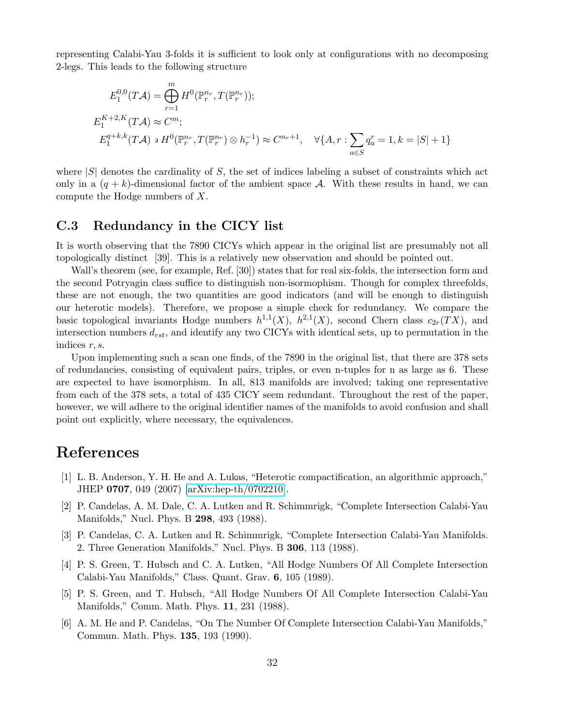representing Calabi-Yau 3-folds it is sufficient to look only at configurations with no decomposing 2-legs. This leads to the following structure

$$
E_1^{0,0}(T\mathcal{A}) = \bigoplus_{r=1}^m H^0(\mathbb{P}_r^{n_r}, T(\mathbb{P}_r^{n_r}));
$$
  
\n
$$
E_1^{K+2,K}(T\mathcal{A}) \approx C^m;
$$
  
\n
$$
E_1^{q+k,k}(T\mathcal{A}) \ni H^0(\mathbb{P}_r^{n_r}, T(\mathbb{P}_r^{n_r}) \otimes h_r^{-1}) \approx C^{n_r+1}, \quad \forall \{A, r : \sum_{a \in S} q_a^r = 1, k = |S| + 1\}
$$

where  $|S|$  denotes the cardinality of S, the set of indices labeling a subset of constraints which act only in a  $(q + k)$ -dimensional factor of the ambient space A. With these results in hand, we can compute the Hodge numbers of X.

#### <span id="page-32-0"></span>C.3 Redundancy in the CICY list

It is worth observing that the 7890 CICYs which appear in the original list are presumably not all topologically distinct [39]. This is a relatively new observation and should be pointed out.

Wall's theorem (see, for example, Ref. [30]) states that for real six-folds, the intersection form and the second Potryagin class suffice to distinguish non-isormophism. Though for complex threefolds, these are not enough, the two quantities are good indicators (and will be enough to distinguish our heterotic models). Therefore, we propose a simple check for redundancy. We compare the basic topological invariants Hodge numbers  $h^{1,1}(X)$ ,  $h^{2,1}(X)$ , second Chern class  $c_{2r}(TX)$ , and intersection numbers  $d_{rst}$ , and identify any two CICYs with identical sets, up to permutation in the indices r, s.

Upon implementing such a scan one finds, of the 7890 in the original list, that there are 378 sets of redundancies, consisting of equivalent pairs, triples, or even n-tuples for n as large as 6. These are expected to have isomorphism. In all, 813 manifolds are involved; taking one representative from each of the 378 sets, a total of 435 CICY seem redundant. Throughout the rest of the paper, however, we will adhere to the original identifier names of the manifolds to avoid confusion and shall point out explicitly, where necessary, the equivalences.

## References

- [1] L. B. Anderson, Y. H. He and A. Lukas, "Heterotic compactification, an algorithmic approach," JHEP 0707, 049 (2007) [\[arXiv:hep-th/0702210\]](http://arXiv.org/abs/hep-th/0702210).
- [2] P. Candelas, A. M. Dale, C. A. Lutken and R. Schimmrigk, "Complete Intersection Calabi-Yau Manifolds," Nucl. Phys. B 298, 493 (1988).
- [3] P. Candelas, C. A. Lutken and R. Schimmrigk, "Complete Intersection Calabi-Yau Manifolds. 2. Three Generation Manifolds," Nucl. Phys. B 306, 113 (1988).
- [4] P. S. Green, T. Hubsch and C. A. Lutken, "All Hodge Numbers Of All Complete Intersection Calabi-Yau Manifolds," Class. Quant. Grav. 6, 105 (1989).
- [5] P. S. Green, and T. Hubsch, "All Hodge Numbers Of All Complete Intersection Calabi-Yau Manifolds," Comm. Math. Phys. 11, 231 (1988).
- [6] A. M. He and P. Candelas, "On The Number Of Complete Intersection Calabi-Yau Manifolds," Commun. Math. Phys. 135, 193 (1990).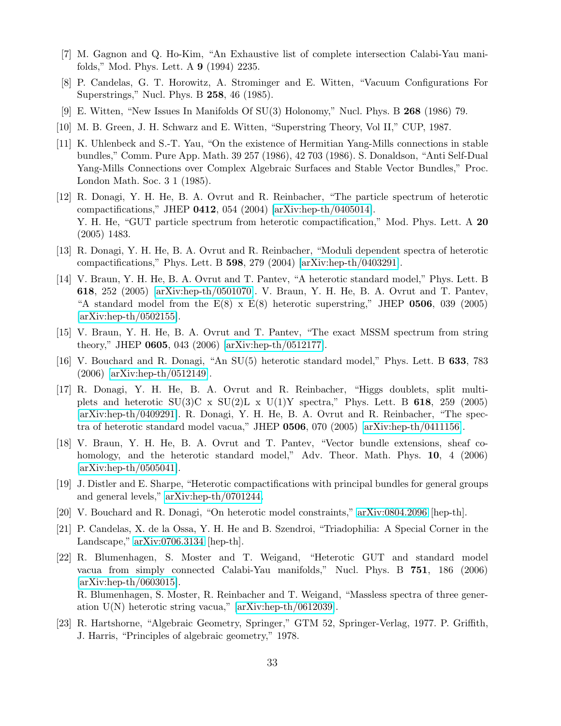- [7] M. Gagnon and Q. Ho-Kim, "An Exhaustive list of complete intersection Calabi-Yau manifolds," Mod. Phys. Lett. A 9 (1994) 2235.
- [8] P. Candelas, G. T. Horowitz, A. Strominger and E. Witten, "Vacuum Configurations For Superstrings," Nucl. Phys. B 258, 46 (1985).
- [9] E. Witten, "New Issues In Manifolds Of SU(3) Holonomy," Nucl. Phys. B 268 (1986) 79.
- [10] M. B. Green, J. H. Schwarz and E. Witten, "Superstring Theory, Vol II," CUP, 1987.
- [11] K. Uhlenbeck and S.-T. Yau, "On the existence of Hermitian Yang-Mills connections in stable bundles," Comm. Pure App. Math. 39 257 (1986), 42 703 (1986). S. Donaldson, "Anti Self-Dual Yang-Mills Connections over Complex Algebraic Surfaces and Stable Vector Bundles," Proc. London Math. Soc. 3 1 (1985).
- [12] R. Donagi, Y. H. He, B. A. Ovrut and R. Reinbacher, "The particle spectrum of heterotic compactifications," JHEP 0412, 054 (2004) [\[arXiv:hep-th/0405014\]](http://arXiv.org/abs/hep-th/0405014). Y. H. He, "GUT particle spectrum from heterotic compactification," Mod. Phys. Lett. A 20 (2005) 1483.
- [13] R. Donagi, Y. H. He, B. A. Ovrut and R. Reinbacher, "Moduli dependent spectra of heterotic compactifications," Phys. Lett. B 598, 279 (2004) [\[arXiv:hep-th/0403291\]](http://arXiv.org/abs/hep-th/0403291).
- [14] V. Braun, Y. H. He, B. A. Ovrut and T. Pantev, "A heterotic standard model," Phys. Lett. B 618, 252 (2005) [\[arXiv:hep-th/0501070\]](http://arXiv.org/abs/hep-th/0501070). V. Braun, Y. H. He, B. A. Ovrut and T. Pantev, "A standard model from the  $E(8) \times E(8)$  heterotic superstring," JHEP 0506, 039 (2005) [\[arXiv:hep-th/0502155\]](http://arXiv.org/abs/hep-th/0502155).
- [15] V. Braun, Y. H. He, B. A. Ovrut and T. Pantev, "The exact MSSM spectrum from string theory," JHEP 0605, 043 (2006) [\[arXiv:hep-th/0512177\]](http://arXiv.org/abs/hep-th/0512177).
- [16] V. Bouchard and R. Donagi, "An SU(5) heterotic standard model," Phys. Lett. B 633, 783 (2006) [\[arXiv:hep-th/0512149\]](http://arXiv.org/abs/hep-th/0512149).
- [17] R. Donagi, Y. H. He, B. A. Ovrut and R. Reinbacher, "Higgs doublets, split multiplets and heterotic SU(3)C x SU(2)L x U(1)Y spectra," Phys. Lett. B 618, 259 (2005) [\[arXiv:hep-th/0409291\]](http://arXiv.org/abs/hep-th/0409291). R. Donagi, Y. H. He, B. A. Ovrut and R. Reinbacher, "The spectra of heterotic standard model vacua," JHEP 0506, 070 (2005) [\[arXiv:hep-th/0411156\]](http://arXiv.org/abs/hep-th/0411156).
- [18] V. Braun, Y. H. He, B. A. Ovrut and T. Pantev, "Vector bundle extensions, sheaf cohomology, and the heterotic standard model," Adv. Theor. Math. Phys. **10**, 4 (2006) [\[arXiv:hep-th/0505041\]](http://arXiv.org/abs/hep-th/0505041).
- [19] J. Distler and E. Sharpe, "Heterotic compactifications with principal bundles for general groups and general levels," [arXiv:hep-th/0701244.](http://arXiv.org/abs/hep-th/0701244)
- [20] V. Bouchard and R. Donagi, "On heterotic model constraints," [arXiv:0804.2096](http://arXiv.org/abs/0804.2096) [hep-th].
- [21] P. Candelas, X. de la Ossa, Y. H. He and B. Szendroi, "Triadophilia: A Special Corner in the Landscape," [arXiv:0706.3134](http://arXiv.org/abs/0706.3134) [hep-th].
- [22] R. Blumenhagen, S. Moster and T. Weigand, "Heterotic GUT and standard model vacua from simply connected Calabi-Yau manifolds," Nucl. Phys. B 751, 186 (2006)  $\arXiv:hep-th/0603015$ . R. Blumenhagen, S. Moster, R. Reinbacher and T. Weigand, "Massless spectra of three gener-
- ation  $U(N)$  heterotic string vacua," [\[arXiv:hep-th/0612039\]](http://arXiv.org/abs/hep-th/0612039). [23] R. Hartshorne, "Algebraic Geometry, Springer," GTM 52, Springer-Verlag, 1977. P. Griffith, J. Harris, "Principles of algebraic geometry," 1978.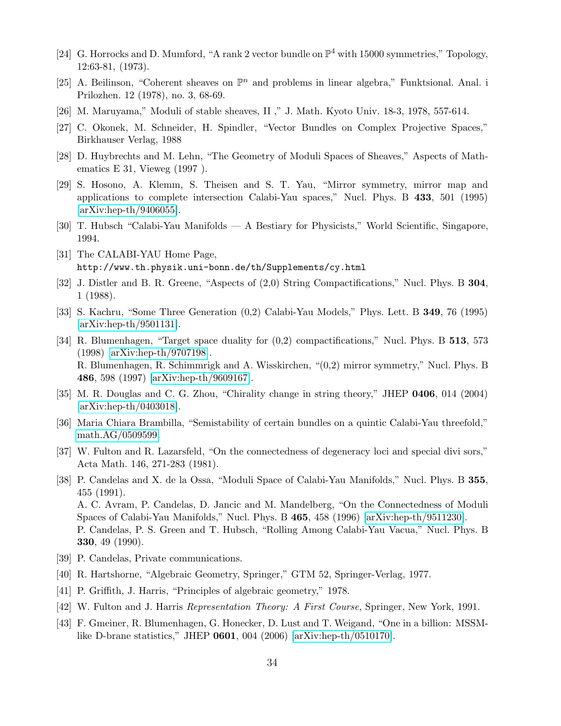- [24] G. Horrocks and D. Mumford, "A rank 2 vector bundle on  $\mathbb{P}^4$  with 15000 symmetries," Topology, 12:63-81, (1973).
- [25] A. Beilinson, "Coherent sheaves on  $\mathbb{P}^n$  and problems in linear algebra," Funktsional. Anal. i Prilozhen. 12 (1978), no. 3, 68-69.
- [26] M. Maruyama," Moduli of stable sheaves, II ," J. Math. Kyoto Univ. 18-3, 1978, 557-614.
- [27] C. Okonek, M. Schneider, H. Spindler, "Vector Bundles on Complex Projective Spaces," Birkhauser Verlag, 1988
- [28] D. Huybrechts and M. Lehn, "The Geometry of Moduli Spaces of Sheaves," Aspects of Mathematics E 31, Vieweg (1997 ).
- [29] S. Hosono, A. Klemm, S. Theisen and S. T. Yau, "Mirror symmetry, mirror map and applications to complete intersection Calabi-Yau spaces," Nucl. Phys. B 433, 501 (1995) [\[arXiv:hep-th/9406055\]](http://arXiv.org/abs/hep-th/9406055).
- [30] T. Hubsch "Calabi-Yau Manifolds A Bestiary for Physicists," World Scientific, Singapore, 1994.
- [31] The CALABI-YAU Home Page, http://www.th.physik.uni-bonn.de/th/Supplements/cy.html
- [32] J. Distler and B. R. Greene, "Aspects of  $(2,0)$  String Compactifications," Nucl. Phys. B 304, 1 (1988).
- [33] S. Kachru, "Some Three Generation (0,2) Calabi-Yau Models," Phys. Lett. B 349, 76 (1995) [\[arXiv:hep-th/9501131\]](http://arXiv.org/abs/hep-th/9501131).
- [34] R. Blumenhagen, "Target space duality for  $(0,2)$  compactifications," Nucl. Phys. B 513, 573 (1998) [\[arXiv:hep-th/9707198\]](http://arXiv.org/abs/hep-th/9707198). R. Blumenhagen, R. Schimmrigk and A. Wisskirchen, "(0,2) mirror symmetry," Nucl. Phys. B 486, 598 (1997) [\[arXiv:hep-th/9609167\]](http://arXiv.org/abs/hep-th/9609167).
- [35] M. R. Douglas and C. G. Zhou, "Chirality change in string theory," JHEP 0406, 014 (2004) [\[arXiv:hep-th/0403018\]](http://arXiv.org/abs/hep-th/0403018).
- [36] Maria Chiara Brambilla, "Semistability of certain bundles on a quintic Calabi-Yau threefold," [math.AG/0509599.](http://arXiv.org/abs/math/0509599)
- [37] W. Fulton and R. Lazarsfeld, "On the connectedness of degeneracy loci and special divi sors," Acta Math. 146, 271-283 (1981).
- [38] P. Candelas and X. de la Ossa, "Moduli Space of Calabi-Yau Manifolds," Nucl. Phys. B 355, 455 (1991). A. C. Avram, P. Candelas, D. Jancic and M. Mandelberg, "On the Connectedness of Moduli Spaces of Calabi-Yau Manifolds," Nucl. Phys. B 465, 458 (1996) [\[arXiv:hep-th/9511230\]](http://arXiv.org/abs/hep-th/9511230). P. Candelas, P. S. Green and T. Hubsch, "Rolling Among Calabi-Yau Vacua," Nucl. Phys. B 330, 49 (1990).
- [39] P. Candelas, Private communications.
- [40] R. Hartshorne, "Algebraic Geometry, Springer," GTM 52, Springer-Verlag, 1977.
- [41] P. Griffith, J. Harris, "Principles of algebraic geometry," 1978.
- [42] W. Fulton and J. Harris *Representation Theory: A First Course,* Springer, New York, 1991.
- [43] F. Gmeiner, R. Blumenhagen, G. Honecker, D. Lust and T. Weigand, "One in a billion: MSSMlike D-brane statistics," JHEP 0601, 004 (2006) [\[arXiv:hep-th/0510170\]](http://arXiv.org/abs/hep-th/0510170).